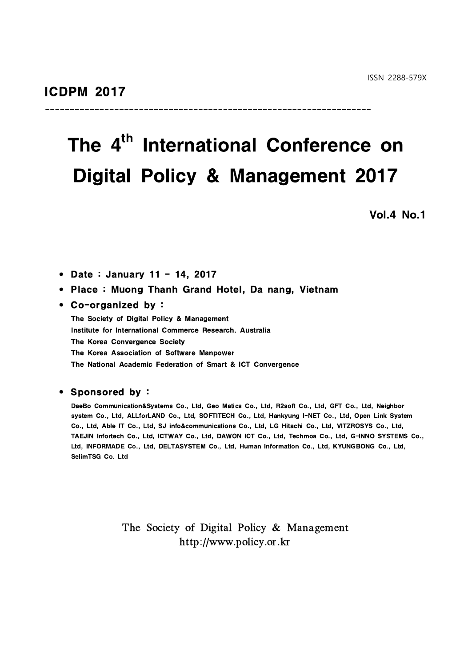# The 4<sup>th</sup> International Conference on Digital Policy & Management 2017

------------------------------------------------------------------

Vol.4 No.1

• Date : January 11 - 14, 2017

### • Place: Muong Thanh Grand Hotel, Da nang, Vietnam

### • Co-organized by :

The Society of Digital Policy & Management Institute for International Commerce Research. Australia The Korea Convergence Society The Korea Association of Software Manpower The National Academic Federation of Smart & ICT Convergence

### • Sponsored by :

DaeBo Communication&Systems Co., Ltd, Geo Matics Co., Ltd, R2soft Co., Ltd, GFT Co., Ltd, Neighbor system Co., Ltd, ALLforLAND Co., Ltd, SOFTITECH Co., Ltd, Hankyung I-NET Co., Ltd, Open Link System Co., Ltd, Able IT Co., Ltd, SJ info&communications Co., Ltd, LG Hitachi Co., Ltd, VITZROSYS Co., Ltd, TAEJIN Infortech Co., Ltd, ICTWAY Co.,Ltd, DAWON ICT Co., Ltd, Techmoa Co., Ltd, G-INNO SYSTEMS Co., Ltd, INFORMADE Co., Ltd, DELTASYSTEM Co., Ltd, Human Information Co., Ltd, KYUNGBONG Co., Ltd, SelimTSG Co. Ltd

> The Society of Digital Policy & Management http://www.policy.or.kr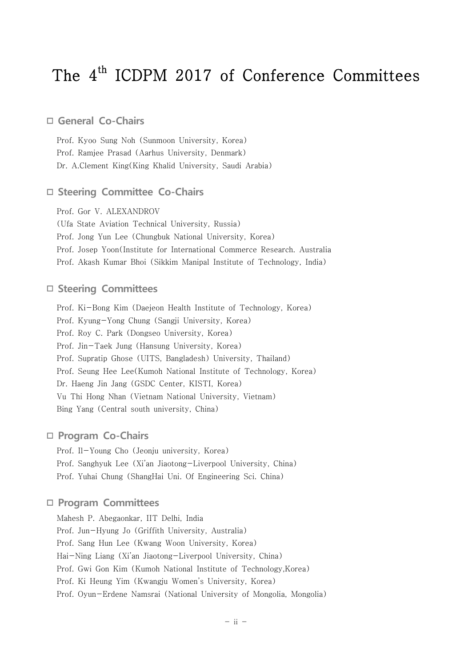# The 4<sup>th</sup> ICDPM 2017 of Conference Committees

## **General Co-Chairs**

Prof. Kyoo Sung Noh (Sunmoon University, Korea) Prof. Ramjee Prasad (Aarhus University, Denmark) Dr. A.Clement King(King Khalid University, Saudi Arabia)

## **Steering Committee Co-Chairs**

Prof. Gor V. ALEXANDROV

(Ufa State Aviation Technical University, Russia)

Prof. Jong Yun Lee (Chungbuk National University, Korea)

Prof. Josep Yoon(Institute for International Commerce Research. Australia

Prof. Akash Kumar Bhoi (Sikkim Manipal Institute of Technology, India)

### **Steering Committees**

Prof. Ki-Bong Kim (Daejeon Health Institute of Technology, Korea) Prof. Kyung-Yong Chung (Sangji University, Korea) Prof. Roy C. Park (Dongseo University, Korea) Prof. Jin-Taek Jung (Hansung University, Korea) Prof. Supratip Ghose (UITS, Bangladesh) University, Thailand) Prof. Seung Hee Lee(Kumoh National Institute of Technology, Korea) Dr. Haeng Jin Jang (GSDC Center, KISTI, Korea) Vu Thi Hong Nhan (Vietnam National University, Vietnam) Bing Yang (Central south university, China)

### **Program Co-Chairs**

Prof. Il-Young Cho (Jeonju university, Korea) Prof. Sanghyuk Lee (Xi'an Jiaotong-Liverpool University, China) Prof. Yuhai Chung (ShangHai Uni. Of Engineering Sci. China)

## **Program Committees**

Mahesh P. Abegaonkar, IIT Delhi, India Prof. Jun-Hyung Jo (Griffith University, Australia) Prof. Sang Hun Lee (Kwang Woon University, Korea) Hai-Ning Liang (Xi'an Jiaotong-Liverpool University, China) Prof. Gwi Gon Kim (Kumoh National Institute of Technology,Korea) Prof. Ki Heung Yim (Kwangju Women's University, Korea) Prof. Oyun-Erdene Namsrai (National University of Mongolia, Mongolia)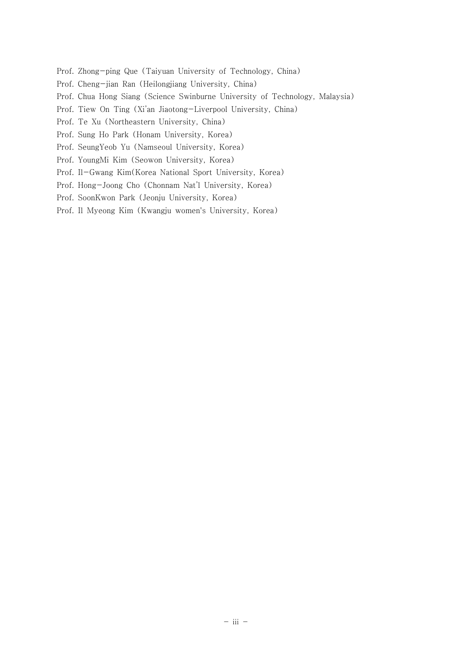- Prof. Zhong-ping Que (Taiyuan University of Technology, China)
- Prof. Cheng-jian Ran (Heilongjiang University, China)
- Prof. Chua Hong Siang (Science Swinburne University of Technology, Malaysia)
- Prof. Tiew On Ting (Xi'an Jiaotong-Liverpool University, China)
- Prof. Te Xu (Northeastern University, China)
- Prof. Sung Ho Park (Honam University, Korea)
- Prof. SeungYeob Yu (Namseoul University, Korea)
- Prof. YoungMi Kim (Seowon University, Korea)
- Prof. Il-Gwang Kim(Korea National Sport University, Korea)
- Prof. Hong-Joong Cho (Chonnam Nat'l University, Korea)
- Prof. SoonKwon Park (Jeonju University, Korea)
- Prof. Il Myeong Kim (Kwangju women's University, Korea)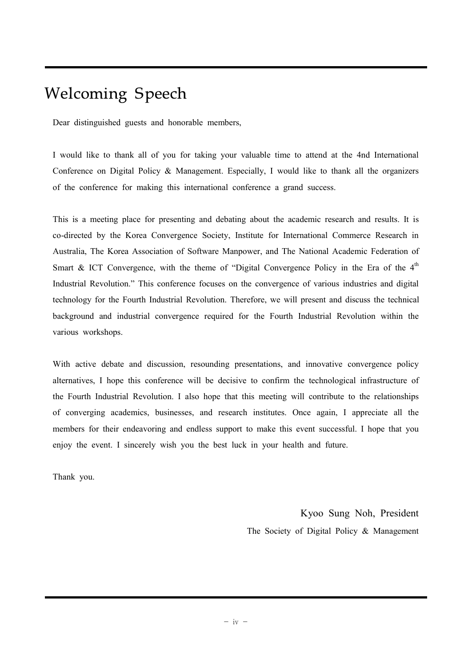## Welcoming Speech

Dear distinguished guests and honorable members,

I would like to thank all of you for taking your valuable time to attend at the 4nd International Conference on Digital Policy & Management. Especially, I would like to thank all the organizers of the conference for making this international conference a grand success.

This is a meeting place for presenting and debating about the academic research and results. It is co-directed by the Korea Convergence Society, Institute for International Commerce Research in Australia, The Korea Association of Software Manpower, and The National Academic Federation of Smart & ICT Convergence, with the theme of "Digital Convergence Policy in the Era of the  $4<sup>th</sup>$ Industrial Revolution." This conference focuses on the convergence of various industries and digital technology for the Fourth Industrial Revolution. Therefore, we will present and discuss the technical background and industrial convergence required for the Fourth Industrial Revolution within the various workshops.

With active debate and discussion, resounding presentations, and innovative convergence policy alternatives, I hope this conference will be decisive to confirm the technological infrastructure of the Fourth Industrial Revolution. I also hope that this meeting will contribute to the relationships of converging academics, businesses, and research institutes. Once again, I appreciate all the members for their endeavoring and endless support to make this event successful. I hope that you enjoy the event. I sincerely wish you the best luck in your health and future.

Thank you.

Kyoo Sung Noh, President The Society of Digital Policy & Management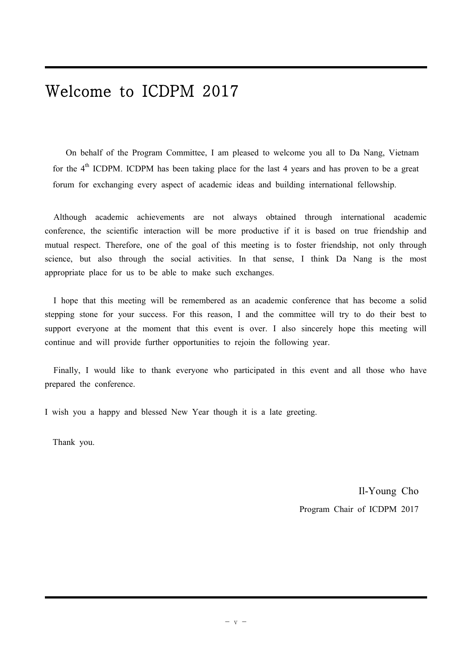## Welcome to ICDPM 2017

 On behalf of the Program Committee, I am pleased to welcome you all to Da Nang, Vietnam for the  $4<sup>th</sup>$  ICDPM. ICDPM has been taking place for the last 4 years and has proven to be a great forum for exchanging every aspect of academic ideas and building international fellowship.

 Although academic achievements are not always obtained through international academic conference, the scientific interaction will be more productive if it is based on true friendship and mutual respect. Therefore, one of the goal of this meeting is to foster friendship, not only through science, but also through the social activities. In that sense, I think Da Nang is the most appropriate place for us to be able to make such exchanges.

 I hope that this meeting will be remembered as an academic conference that has become a solid stepping stone for your success. For this reason, I and the committee will try to do their best to support everyone at the moment that this event is over. I also sincerely hope this meeting will continue and will provide further opportunities to rejoin the following year.

 Finally, I would like to thank everyone who participated in this event and all those who have prepared the conference.

I wish you a happy and blessed New Year though it is a late greeting.

Thank you.

Il-Young Cho Program Chair of ICDPM 2017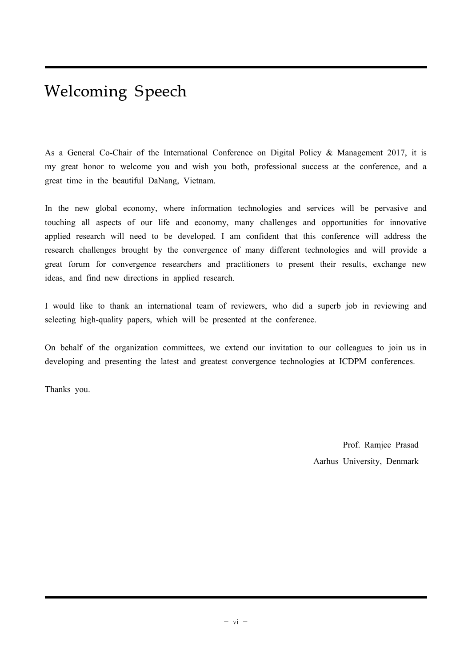# Welcoming Speech

As a General Co-Chair of the International Conference on Digital Policy & Management 2017, it is my great honor to welcome you and wish you both, professional success at the conference, and a great time in the beautiful DaNang, Vietnam.

In the new global economy, where information technologies and services will be pervasive and touching all aspects of our life and economy, many challenges and opportunities for innovative applied research will need to be developed. I am confident that this conference will address the research challenges brought by the convergence of many different technologies and will provide a great forum for convergence researchers and practitioners to present their results, exchange new ideas, and find new directions in applied research.

I would like to thank an international team of reviewers, who did a superb job in reviewing and selecting high-quality papers, which will be presented at the conference.

On behalf of the organization committees, we extend our invitation to our colleagues to join us in developing and presenting the latest and greatest convergence technologies at ICDPM conferences.

Thanks you.

Prof. Ramjee Prasad Aarhus University, Denmark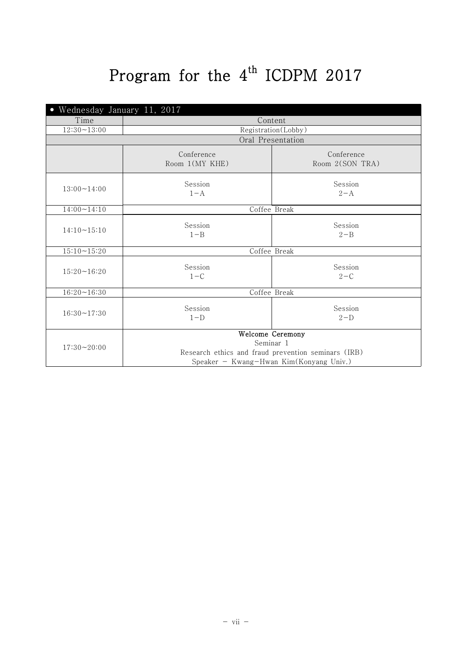# Program for the  $4^{\text{th}}$  ICDPM 2017

| Wednesday January 11, 2017 |                              |                                                                                                                                 |
|----------------------------|------------------------------|---------------------------------------------------------------------------------------------------------------------------------|
| Time                       | Content                      |                                                                                                                                 |
| $12:30 - 13:00$            |                              | Registration(Lobby)                                                                                                             |
|                            |                              | Oral Presentation                                                                                                               |
|                            | Conference<br>Room 1(MY KHE) | Conference<br>Room 2(SON TRA)                                                                                                   |
| $13:00 \sim 14:00$         | Session<br>$1 - A$           | Session<br>$2 - A$                                                                                                              |
| $14:00 - 14:10$            | Coffee Break                 |                                                                                                                                 |
| $14:10 - 15:10$            | Session<br>$1 - B$           | Session<br>$2 - B$                                                                                                              |
| $15:10 - 15:20$            | Coffee Break                 |                                                                                                                                 |
| $15:20 - 16:20$            | Session<br>$1-C$             | Session<br>$2-C$                                                                                                                |
| $16:20 - 16:30$            | Coffee Break                 |                                                                                                                                 |
| $16:30 - 17:30$            | Session<br>$1-D$             | Session<br>$2-D$                                                                                                                |
| $17:30 - 20:00$            |                              | Welcome Ceremony<br>Seminar 1<br>Research ethics and fraud prevention seminars (IRB)<br>Speaker - Kwang-Hwan Kim(Konyang Univ.) |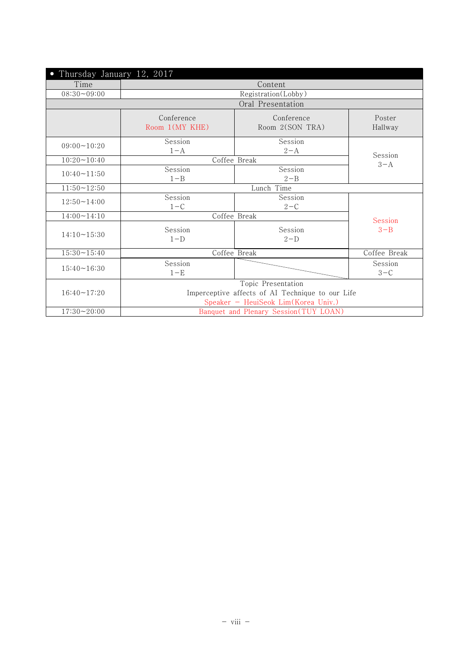| Thursday January 12, 2017 |                                                                                                               |                               |                   |
|---------------------------|---------------------------------------------------------------------------------------------------------------|-------------------------------|-------------------|
| Time                      |                                                                                                               | Content                       |                   |
| $08:30 - 09:00$           |                                                                                                               | Registration(Lobby)           |                   |
|                           |                                                                                                               | Oral Presentation             |                   |
|                           | Conference<br>Room 1(MY KHE)                                                                                  | Conference<br>Room 2(SON TRA) | Poster<br>Hallway |
| $09:00 - 10:20$           | Session<br>$1 - A$                                                                                            | Session<br>$2 - A$            |                   |
| $10:20 - 10:40$           | Session<br>Coffee Break                                                                                       |                               |                   |
| $10:40 - 11:50$           | Session<br>$1 - B$                                                                                            | Session<br>$2 - B$            | $3 - A$           |
| $11:50 - 12:50$           | Lunch Time                                                                                                    |                               |                   |
| $12:50 - 14:00$           | Session<br>$1-C$                                                                                              | Session<br>$2 - C$            |                   |
| $14:00 \sim 14:10$        | Coffee Break                                                                                                  |                               | Session           |
| $14:10 - 15:30$           | Session<br>$1-D$                                                                                              | Session<br>$2-D$              | $3 - B$           |
| $15:30 - 15:40$           | Coffee Break<br>Coffee Break                                                                                  |                               |                   |
| $15:40 - 16:30$           | Session<br>$1-E$                                                                                              |                               | Session<br>$3-C$  |
| $16:40 - 17:20$           | Topic Presentation<br>Imperceptive affects of AI Technique to our Life<br>Speaker - HeuiSeok Lim(Korea Univ.) |                               |                   |
| $17:30 - 20:00$           | Banquet and Plenary Session(TUY LOAN)                                                                         |                               |                   |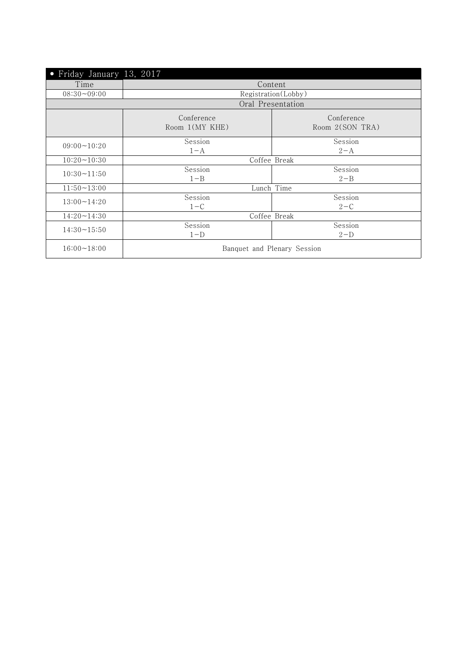| Friday January 13, 2017<br>$\bullet$ |                              |                               |
|--------------------------------------|------------------------------|-------------------------------|
| Time                                 |                              | Content                       |
| $08:30 - 09:00$                      |                              | Registration(Lobby)           |
|                                      |                              | Oral Presentation             |
|                                      | Conference<br>Room 1(MY KHE) | Conference<br>Room 2(SON TRA) |
| $09:00 \sim 10:20$                   | Session<br>$1 - A$           | Session<br>$2 - A$            |
| $10:20 - 10:30$                      | Coffee Break                 |                               |
| $10:30 \sim 11:50$                   | Session<br>$1 - B$           | Session<br>$2 - B$            |
| $11:50 - 13:00$                      | Lunch Time                   |                               |
| $13:00 - 14:20$                      | Session<br>$1-C$             | Session<br>$2 - C$            |
| $14:20 - 14:30$                      | Coffee Break                 |                               |
| $14:30 \sim 15:50$                   | Session<br>$1-D$             | Session<br>$2-D$              |
| $16:00 - 18:00$                      | Banquet and Plenary Session  |                               |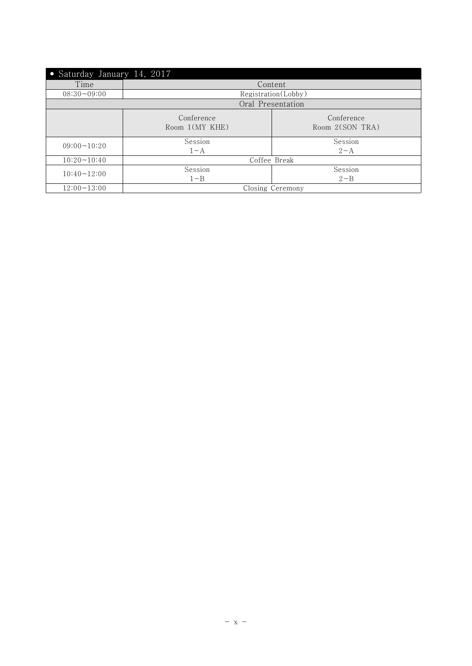| Saturday January 14, 2017<br>$\bullet$                        |                     |                    |
|---------------------------------------------------------------|---------------------|--------------------|
| Time                                                          |                     | Content            |
| $08:30 - 09:00$                                               | Registration(Lobby) |                    |
| Oral Presentation                                             |                     |                    |
| Conference<br>Conference<br>Room 1(MY KHE)<br>Room 2(SON TRA) |                     |                    |
| $09:00 \sim 10:20$                                            | Session<br>$1 - A$  | Session<br>$2 - A$ |
| $10:20 \sim 10:40$                                            | Coffee Break        |                    |
| $10:40 \sim 12:00$                                            | Session             | Session            |
|                                                               | $1 - B$             | $2 - B$            |
| $12:00 - 13:00$                                               | Closing Ceremony    |                    |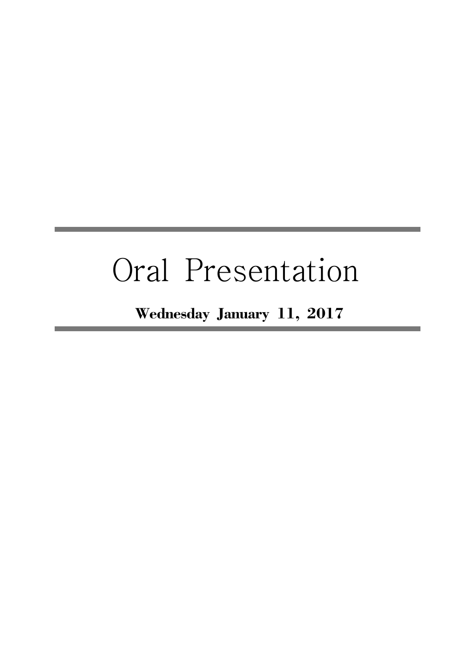# Oral Presentation

Wednesday January 11, 2017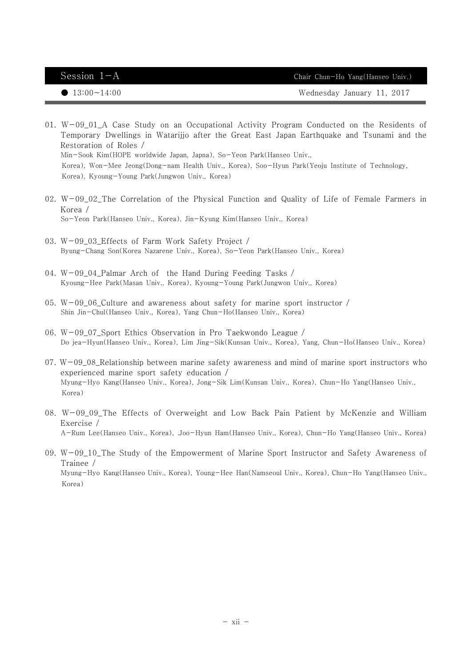$Session \t1-A$  Chair Chun-Ho Yang(Hanseo Univ.)

● 13:00~14:00 Wednesday January 11, 2017

- 01. W-09\_01\_A Case Study on an Occupational Activity Program Conducted on the Residents of Temporary Dwellings in Watarijjo after the Great East Japan Earthquake and Tsunami and the Restoration of Roles / Min-Sook Kim(HOPE worldwide Japan, Japna), So-Yeon Park(Hanseo Univ., Korea), Won-Mee Jeong(Dong-nam Health Univ., Korea), Soo-Hyun Park(Yeoju Institute of Technology, Korea), Kyoung-Young Park(Jungwon Univ., Korea)
- 02. W-09\_02\_The Correlation of the Physical Function and Quality of Life of Female Farmers in Korea / So-Yeon Park(Hanseo Univ., Korea), Jin-Kyung Kim(Hanseo Univ., Korea)
- 03. W-09\_03\_Effects of Farm Work Safety Project / Byung-Chang Son(Korea Nazarene Univ., Korea), So-Yeon Park(Hanseo Univ., Korea)
- 04. W-09\_04\_Palmar Arch of the Hand During Feeding Tasks / Kyoung-Hee Park(Masan Univ., Korea), Kyoung-Young Park(Jungwon Univ., Korea)
- 05. W-09\_06\_Culture and awareness about safety for marine sport instructor / Shin Jin-Chul(Hanseo Univ., Korea), Yang Chun-Ho(Hanseo Univ., Korea)
- 06. W-09\_07\_Sport Ethics Observation in Pro Taekwondo League / Do jea-Hyun(Hanseo Univ., Korea), Lim Jing-Sik(Kunsan Univ., Korea), Yang, Chun-Ho(Hanseo Univ., Korea)
- 07. W-09\_08\_Relationship between marine safety awareness and mind of marine sport instructors who experienced marine sport safety education / Myung-Hyo Kang(Hanseo Univ., Korea), Jong-Sik Lim(Kunsan Univ., Korea), Chun-Ho Yang(Hanseo Univ., Korea)
- 08. W-09\_09\_The Effects of Overweight and Low Back Pain Patient by McKenzie and William Exercise / A-Rum Lee(Hanseo Univ., Korea), .Joo-Hyun Ham(Hanseo Univ., Korea), Chun-Ho Yang(Hanseo Univ., Korea)
- 09. W-09\_10\_The Study of the Empowerment of Marine Sport Instructor and Safety Awareness of Trainee / Myung-Hyo Kang(Hanseo Univ., Korea), Young-Hee Han(Namseoul Univ., Korea), Chun-Ho Yang(Hanseo Univ., Korea)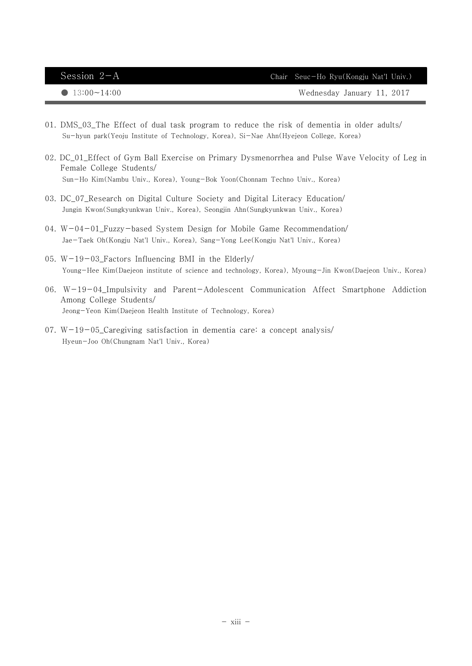| Session $2-A$          | Chair Seuc-Ho Ryu(Kongju Nat'l Univ.) |
|------------------------|---------------------------------------|
| $\bigcirc$ 13:00~14:00 | Wednesday January 11, 2017            |

- 01. DMS\_03\_The Effect of dual task program to reduce the risk of dementia in older adults/Su-hyun park(Yeoju Institute of Technology, Korea), Si-Nae Ahn(Hyejeon College, Korea)
- 02. DC\_01\_Effect of Gym Ball Exercise on Primary Dysmenorrhea and Pulse Wave Velocity of Leg in Female College Students/Sun-Ho Kim(Nambu Univ., Korea), Young-Bok Yoon(Chonnam Techno Univ., Korea)
- 03. DC\_07\_Research on Digital Culture Society and Digital Literacy Education/Jungin Kwon(Sungkyunkwan Univ., Korea), Seongjin Ahn(Sungkyunkwan Univ., Korea)
- 04. W-04-01\_Fuzzy-based System Design for Mobile Game Recommendation/Jae-Taek Oh(Kongju Nat'l Univ., Korea), Sang-Yong Lee(Kongju Nat'l Univ., Korea)
- 05. W-19-03\_Factors Influencing BMI in the Elderly/Young-Hee Kim(Daejeon institute of science and technology, Korea), Myoung-Jin Kwon(Daejeon Univ., Korea)
- 06. W-19-04\_Impulsivity and Parent-Adolescent Communication Affect Smartphone Addiction Among College Students/Jeong-Yeon Kim(Daejeon Health Institute of Technology, Korea)
- 07.  $W-19-05$  Caregiving satisfaction in dementia care: a concept analysis/ Hyeun-Joo Oh(Chungnam Nat'l Univ., Korea)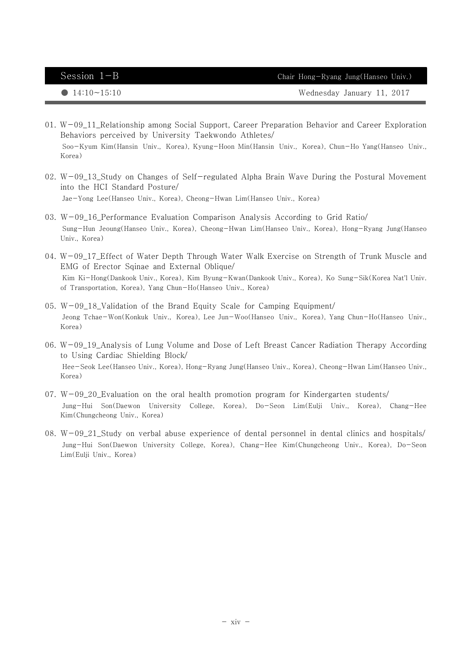Session  $1-B$  Chair Hong-Ryang Jung(Hanseo Univ.)

● 14:10~15:10 Wednesday January 11, 2017

- 01. W-09\_11\_Relationship among Social Support, Career Preparation Behavior and Career Exploration Behaviors perceived by University Taekwondo Athletes/ Soo-Kyum Kim(Hansin Univ., Korea), Kyung-Hoon Min(Hansin Univ., Korea), Chun-Ho Yang(Hanseo Univ., Korea)
- 02.  $W-09$  13 Study on Changes of Self-regulated Alpha Brain Wave During the Postural Movement into the HCI Standard Posture/Jae-Yong Lee(Hanseo Univ., Korea), Cheong-Hwan Lim(Hanseo Univ., Korea)
- 03. W-09\_16\_Performance Evaluation Comparison Analysis According to Grid Ratio/ Sung-Hun Jeoung(Hanseo Univ., Korea), Cheong-Hwan Lim(Hanseo Univ., Korea), Hong-Ryang Jung(Hanseo Univ., Korea)
- 04. W-09\_17\_Effect of Water Depth Through Water Walk Exercise on Strength of Trunk Muscle and EMG of Erector Sqinae and External Oblique/ Kim Ki-Hong(Dankook Univ., Korea), Kim Byung-Kwan(Dankook Univ., Korea), Ko Sung-Sik(Korea Nat'l Univ. of Transportation, Korea), Yang Chun-Ho(Hanseo Univ., Korea)
- 05. W-09\_18\_Validation of the Brand Equity Scale for Camping Equipment/ Jeong Tchae-Won(Konkuk Univ., Korea), Lee Jun-Woo(Hanseo Univ., Korea), Yang Chun-Ho(Hanseo Univ., Korea)
- 06. W-09\_19\_Analysis of Lung Volume and Dose of Left Breast Cancer Radiation Therapy According to Using Cardiac Shielding Block/ Hee-Seok Lee(Hanseo Univ., Korea), Hong-Ryang Jung(Hanseo Univ., Korea), Cheong-Hwan Lim(Hanseo Univ., Korea)
- $07. W 09\_20$ . Evaluation on the oral health promotion program for Kindergarten students/ Jung-Hui Son(Daewon University College, Korea), Do-Seon Lim(Eulji Univ., Korea), Chang-Hee Kim(Chungcheong Univ., Korea)
- 08. W-09\_21\_Study on verbal abuse experience of dental personnel in dental clinics and hospitals/ Jung-Hui Son(Daewon University College, Korea), Chang-Hee Kim(Chungcheong Univ., Korea), Do-Seon Lim(Eulji Univ., Korea)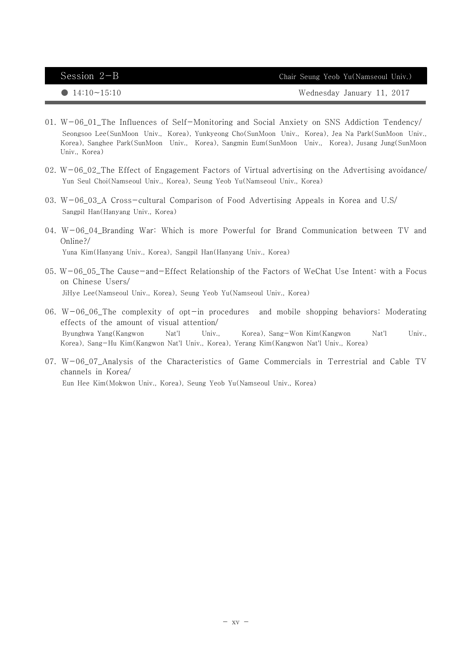Session 2-B Chair Seung Yeob Yu(Namseoul Univ.)

● 14:10~15:10 Wednesday January 11, 2017

- 01.  $W-06$  01 The Influences of Self-Monitoring and Social Anxiety on SNS Addiction Tendency/ Seongsoo Lee(SunMoon Univ., Korea), Yunkyeong Cho(SunMoon Univ., Korea), Jea Na Park(SunMoon Univ., Korea), Sanghee Park(SunMoon Univ., Korea), Sangmin Eum(SunMoon Univ., Korea), Jusang Jung(SunMoon Univ., Korea)
- 02.  $W-06_0$   $2_$ The Effect of Engagement Factors of Virtual advertising on the Advertising avoidance/ Yun Seul Choi(Namseoul Univ., Korea), Seung Yeob Yu(Namseoul Univ., Korea)
- 03. W-06\_03\_A Cross-cultural Comparison of Food Advertising Appeals in Korea and U.S/Sangpil Han(Hanyang Univ., Korea)
- 04. W-06\_04\_Branding War: Which is more Powerful for Brand Communication between TV and Online?/Yuna Kim(Hanyang Univ., Korea), Sangpil Han(Hanyang Univ., Korea)
- 05. W-06\_05\_The Cause-and-Effect Relationship of the Factors of WeChat Use Intent: with a Focus on Chinese Users/JiHye Lee(Namseoul Univ., Korea), Seung Yeob Yu(Namseoul Univ., Korea)
- 06. W-06\_06\_The complexity of opt-in procedures and mobile shopping behaviors: Moderating effects of the amount of visual attention/ Byunghwa Yang(Kangwon Nat'l Univ., Korea), Sang-Won Kim(Kangwon Nat'l Univ., Korea), Sang-Hu Kim(Kangwon Nat'l Univ., Korea), Yerang Kim(Kangwon Nat'l Univ., Korea)
- 07. W-06\_07\_Analysis of the Characteristics of Game Commercials in Terrestrial and Cable TV channels in Korea/Eun Hee Kim(Mokwon Univ., Korea), Seung Yeob Yu(Namseoul Univ., Korea)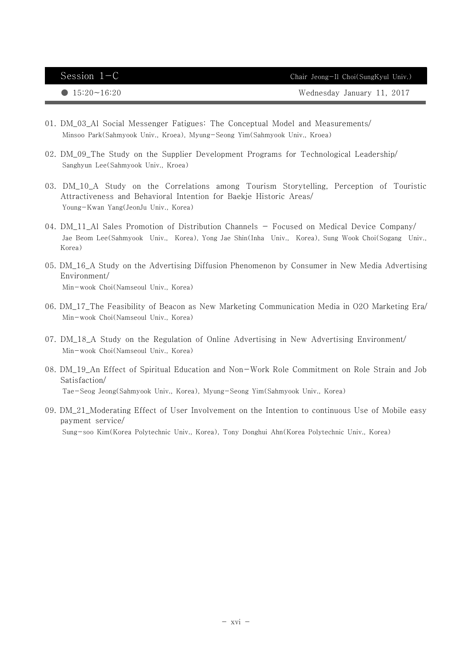| Session $1-C$         | Chair Jeong-Il Choi(SungKyul Univ.) |
|-----------------------|-------------------------------------|
| $\bullet$ 15:20~16:20 | Wednesday January 11, 2017          |

- 01. DM\_03\_Al Social Messenger Fatigues: The Conceptual Model and Measurements/Minsoo Park(Sahmyook Univ., Kroea), Myung-Seong Yim(Sahmyook Univ., Kroea)
- 02. DM\_09\_The Study on the Supplier Development Programs for Technological Leadership/Sanghyun Lee(Sahmyook Univ., Kroea)
- 03. DM\_10\_A Study on the Correlations among Tourism Storytelling, Perception of Touristic Attractiveness and Behavioral Intention for Baekje Historic Areas/Young-Kwan Yang(JeonJu Univ., Korea)
- 04. DM\_11\_Al Sales Promotion of Distribution Channels Focused on Medical Device Company/ Jae Beom Lee(Sahmyook Univ., Korea), Yong Jae Shin(Inha Univ., Korea), Sung Wook Choi(Sogang Univ., Korea)
- 05. DM\_16\_A Study on the Advertising Diffusion Phenomenon by Consumer in New Media Advertising Environment/Min-wook Choi(Namseoul Univ., Korea)
- 06. DM\_17\_The Feasibility of Beacon as New Marketing Communication Media in O2O Marketing Era/Min-wook Choi(Namseoul Univ., Korea)
- 07. DM\_18\_A Study on the Regulation of Online Advertising in New Advertising Environment/Min-wook Choi(Namseoul Univ., Korea)
- 08. DM\_19\_An Effect of Spiritual Education and Non-Work Role Commitment on Role Strain and Job Satisfaction/Tae-Seog Jeong(Sahmyook Univ., Korea), Myung-Seong Yim(Sahmyook Univ., Korea)
- 09. DM\_21\_Moderating Effect of User Involvement on the Intention to continuous Use of Mobile easy payment service/Sung-soo Kim(Korea Polytechnic Univ., Korea), Tony Donghui Ahn(Korea Polytechnic Univ., Korea)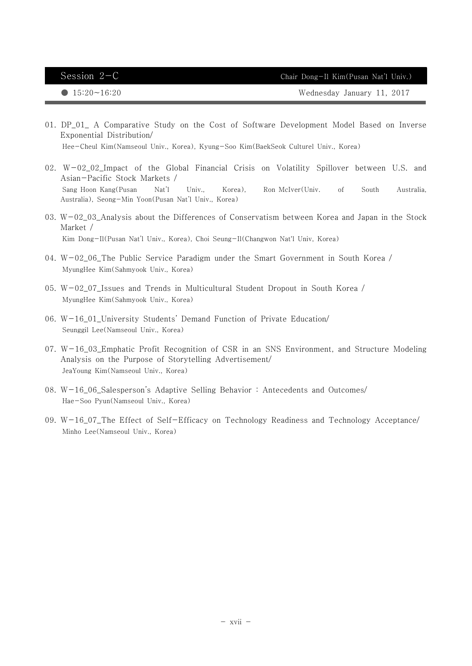● 15:20~16:20 Nednesday January 11, 2017

- 01. DP\_01\_ A Comparative Study on the Cost of Software Development Model Based on Inverse Exponential Distribution/Hee-Cheul Kim(Namseoul Univ., Korea), Kyung-Soo Kim(BaekSeok Culturel Univ., Korea)
- 02. W-02\_02\_Impact of the Global Financial Crisis on Volatility Spillover between U.S. and Asian-Pacific Stock Markets / Sang Hoon Kang(Pusan Nat'l Univ., Korea), Ron McIver(Univ. of South Australia, Australia), Seong-Min Yoon(Pusan Nat'l Univ., Korea)
- 03. W-02\_03\_Analysis about the Differences of Conservatism between Korea and Japan in the Stock Market /Kim Dong-Il(Pusan Nat'l Univ., Korea), Choi Seung-Il(Changwon Nat'l Univ, Korea)
- 04. W-02\_06\_The Public Service Paradigm under the Smart Government in South Korea /MyungHee Kim(Sahmyook Univ., Korea)
- 05.  $W-02$  07 Issues and Trends in Multicultural Student Dropout in South Korea / MyungHee Kim(Sahmyook Univ., Korea)
- 06. W-16\_01\_University Students' Demand Function of Private Education/Seunggil Lee(Namseoul Univ., Korea)
- 07. W-16\_03\_Emphatic Profit Recognition of CSR in an SNS Environment, and Structure Modeling Analysis on the Purpose of Storytelling Advertisement/JeaYoung Kim(Namseoul Univ., Korea)
- 08. W-16\_06\_Salesperson's Adaptive Selling Behavior : Antecedents and Outcomes/Hae-Soo Pyun(Namseoul Univ., Korea)
- 09. W-16\_07\_The Effect of Self-Efficacy on Technology Readiness and Technology Acceptance/Minho Lee(Namseoul Univ., Korea)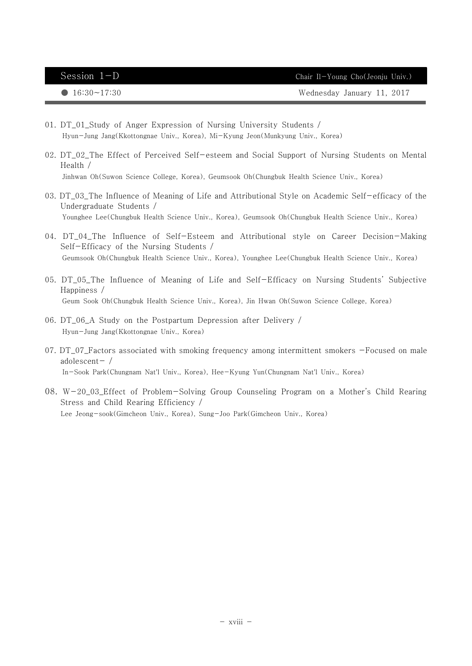● 16:30~17:30 Wednesday January 11, 2017

- 01. DT\_01\_Study of Anger Expression of Nursing University Students /Hyun-Jung Jang(Kkottongnae Univ., Korea), Mi-Kyung Jeon(Munkyung Univ., Korea)
- 02. DT\_02\_The Effect of Perceived Self-esteem and Social Support of Nursing Students on Mental Health /Jinhwan Oh(Suwon Science College, Korea), Geumsook Oh(Chungbuk Health Science Univ., Korea)
- 03. DT\_03\_The Influence of Meaning of Life and Attributional Style on Academic Self-efficacy of the Undergraduate Students /Younghee Lee(Chungbuk Health Science Univ., Korea), Geumsook Oh(Chungbuk Health Science Univ., Korea)
- 04. DT\_04\_The Influence of Self-Esteem and Attributional style on Career Decision-Making Self-Efficacy of the Nursing Students /Geumsook Oh(Chungbuk Health Science Univ., Korea), Younghee Lee(Chungbuk Health Science Univ., Korea)
- 05. DT\_05\_The Influence of Meaning of Life and Self-Efficacy on Nursing Students' Subjective Happiness /Geum Sook Oh(Chungbuk Health Science Univ., Korea), Jin Hwan Oh(Suwon Science College, Korea)
- 06. DT\_06\_A Study on the Postpartum Depression after Delivery /Hyun-Jung Jang(Kkottongnae Univ., Korea)
- 07. DT\_07 Factors associated with smoking frequency among intermittent smokers -Focused on male adolescent $-$  / In-Sook Park(Chungnam Nat'l Univ., Korea), Hee-Kyung Yun(Chungnam Nat'l Univ., Korea)
- 08. W-20\_03\_Effect of Problem-Solving Group Counseling Program on a Mother's Child Rearing Stress and Child Rearing Efficiency / Lee Jeong-sook(Gimcheon Univ., Korea), Sung-Joo Park(Gimcheon Univ., Korea)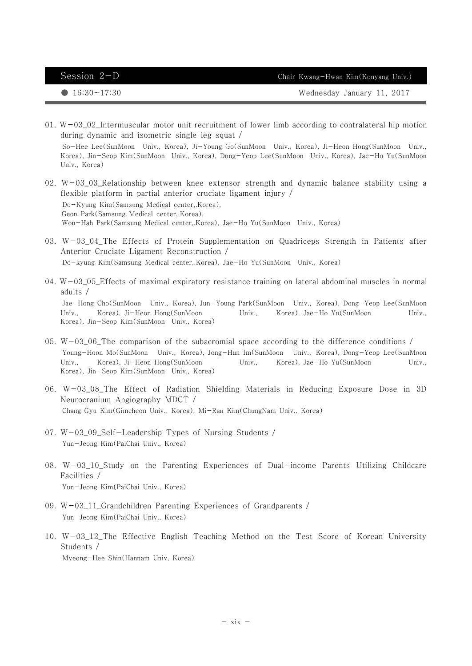Session  $2-D$  Chair Kwang-Hwan Kim(Konyang Univ.)

● 16:30~17:30 Wednesday January 11, 2017

- 01. W-03\_02\_Intermuscular motor unit recruitment of lower limb according to contralateral hip motion during dynamic and isometric single leg squat / So-Hee Lee(SunMoon Univ., Korea), Ji-Young Go(SunMoon Univ., Korea), Ji-Heon Hong(SunMoon Univ., Korea), Jin-Seop Kim(SunMoon Univ., Korea), Dong-Yeop Lee(SunMoon Univ., Korea), Jae-Ho Yu(SunMoon Univ., Korea)
- 02. W-03\_03\_Relationship between knee extensor strength and dynamic balance stability using a flexible platform in partial anterior cruciate ligament injury /Do-Kyung Kim(Samsung Medical center,.Korea), Geon Park(Samsung Medical center,.Korea), Won-Hah Park(Samsung Medical center,.Korea), Jae-Ho Yu(SunMoon Univ., Korea)
- 03. W-03\_04\_The Effects of Protein Supplementation on Quadriceps Strength in Patients after Anterior Cruciate Ligament Reconstruction /Do-kyung Kim(Samsung Medical center, Korea), Jae-Ho Yu(SunMoon, Univ., Korea)
- 04.  $W-03$  05 Effects of maximal expiratory resistance training on lateral abdominal muscles in normal adults / Jae-Hong Cho(SunMoon Univ., Korea), Jun-Young Park(SunMoon Univ., Korea), Dong-Yeop Lee(SunMoon Univ., Korea), Ji-Heon Hong(SunMoon Univ., Korea), Jae-Ho Yu(SunMoon Univ., Korea), Jin-Seop Kim(SunMoon Univ., Korea)
- 05. W-03\_06\_The comparison of the subacromial space according to the difference conditions  $/$  Young-Hoon Mo(SunMoon Univ., Korea), Jong-Hun Im(SunMoon Univ., Korea), Dong-Yeop Lee(SunMoon Univ., Korea), Ji-Heon Hong(SunMoon Univ., Korea), Jae-Ho Yu(SunMoon Univ., Korea), Jin-Seop Kim(SunMoon Univ., Korea)
- 06. W-03\_08\_The Effect of Radiation Shielding Materials in Reducing Exposure Dose in 3D Neurocranium Angiography MDCT /Chang Gyu Kim(Gimcheon Univ., Korea), Mi-Ran Kim(ChungNam Univ., Korea)
- 07. W-03\_09\_Self-Leadership Types of Nursing Students /Yun-Jeong Kim(PaiChai Univ., Korea)
- 08. W-03\_10\_Study on the Parenting Experiences of Dual-income Parents Utilizing Childcare Facilities /Yun-Jeong Kim(PaiChai Univ., Korea)
- 09. W-03\_11\_Grandchildren Parenting Experiences of Grandparents /Yun-Jeong Kim(PaiChai Univ., Korea)
- 10. W-03\_12\_The Effective English Teaching Method on the Test Score of Korean University Students /Myeong-Hee Shin(Hannam Univ, Korea)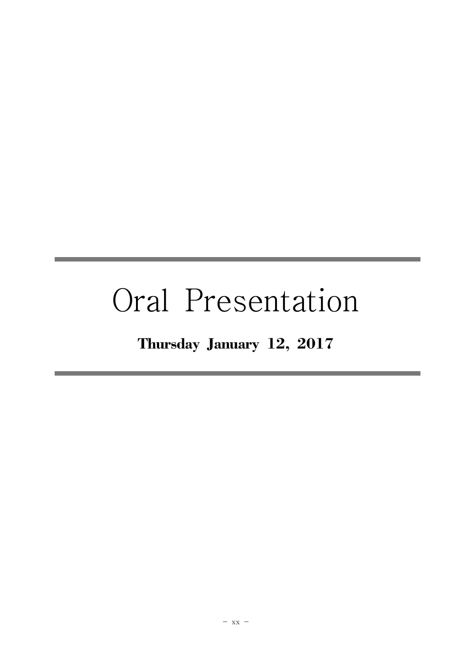# Oral Presentation

## Thursday January 12, 2017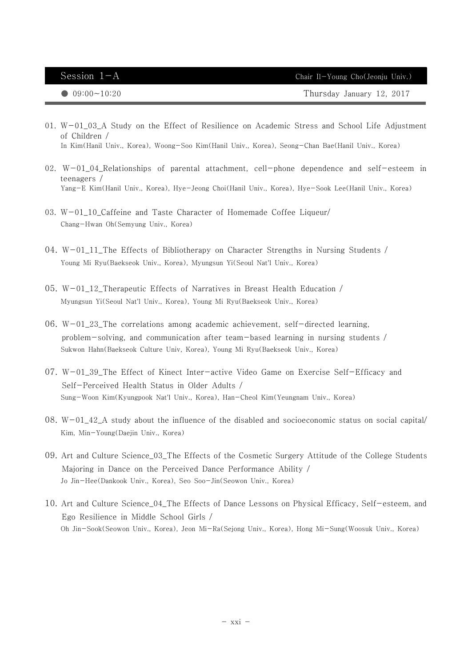Session  $1-A$  Chair Il-Young Cho(Jeonju Univ.)

● 09:00~10:20 Thursday January Thursday January 12, 2017

- 01.  $W-01$  03 A Study on the Effect of Resilience on Academic Stress and School Life Adjustment of Children / In Kim(Hanil Univ., Korea), Woong-Soo Kim(Hanil Univ., Korea), Seong-Chan Bae(Hanil Univ., Korea)
- 02. W-01\_04\_Relationships of parental attachment, cell-phone dependence and self-esteem in teenagers / Yang-E Kim(Hanil Univ., Korea), Hye-Jeong Choi(Hanil Univ., Korea), Hye-Sook Lee(Hanil Univ., Korea)
- 03. W-01\_10\_Caffeine and Taste Character of Homemade Coffee Liqueur/ Chang-Hwan Oh(Semyung Univ., Korea)
- 04. W-01\_11\_The Effects of Bibliotherapy on Character Strengths in Nursing Students / Young Mi Ryu(Baekseok Univ., Korea), Myungsun Yi(Seoul Nat'l Univ., Korea)
- 05. W-01\_12\_Therapeutic Effects of Narratives in Breast Health Education / Myungsun Yi(Seoul Nat'l Univ., Korea), Young Mi Ryu(Baekseok Univ., Korea)
- 06. W-01\_23\_The correlations among academic achievement, self-directed learning, problem-solving, and communication after team-based learning in nursing students / Sukwon Hahn(Baekseok Culture Univ, Korea), Young Mi Ryu(Baekseok Univ., Korea)
- 07. W-01\_39\_The Effect of Kinect Inter-active Video Game on Exercise Self-Efficacy and Self-Perceived Health Status in Older Adults / Sung-Woon Kim(Kyungpook Nat'l Univ., Korea), Han-Cheol Kim(Yeungnam Univ., Korea)
- $08. W-01_42_A$  study about the influence of the disabled and socioeconomic status on social capital/ Kim, Min-Young(Daejin Univ., Korea)
- 09. Art and Culture Science\_03\_The Effects of the Cosmetic Surgery Attitude of the College Students Majoring in Dance on the Perceived Dance Performance Ability / Jo Jin-Hee(Dankook Univ., Korea), Seo Soo-Jin(Seowon Univ., Korea)
- 10. Art and Culture Science\_04\_The Effects of Dance Lessons on Physical Efficacy, Self-esteem, and Ego Resilience in Middle School Girls / Oh Jin-Sook(Seowon Univ., Korea), Jeon Mi-Ra(Sejong Univ., Korea), Hong Mi-Sung(Woosuk Univ., Korea)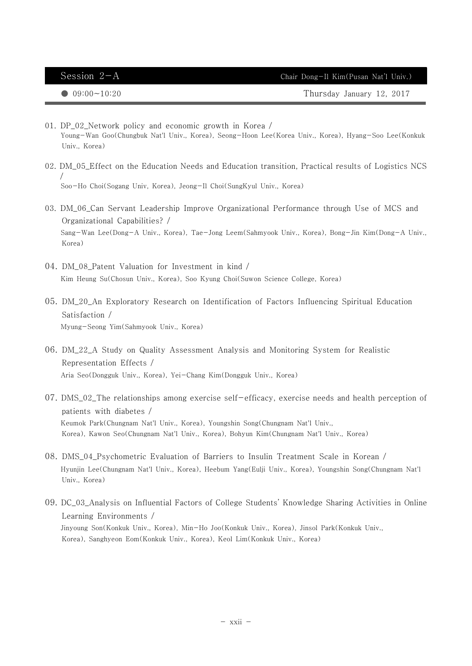| Session $2-A$         | Chair Dong-Il Kim(Pusan Nat'l Univ.) |
|-----------------------|--------------------------------------|
| $\bullet$ 09:00~10:20 | Thursday January 12, 2017            |

- 01. DP\_02\_Network policy and economic growth in Korea / Young-Wan Goo(Chungbuk Nat'l Univ., Korea), Seong-Hoon Lee(Korea Univ., Korea), Hyang-Soo Lee(Konkuk Univ., Korea)
- 02. DM\_05\_Effect on the Education Needs and Education transition, Practical results of Logistics NCS / Soo-Ho Choi(Sogang Univ, Korea), Jeong-Il Choi(SungKyul Univ., Korea)
- 03. DM\_06\_Can Servant Leadership Improve Organizational Performance through Use of MCS and Organizational Capabilities? / Sang-Wan Lee(Dong-A Univ., Korea), Tae-Jong Leem(Sahmyook Univ., Korea), Bong-Jin Kim(Dong-A Univ., Korea)
- 04. DM\_08\_Patent Valuation for Investment in kind / Kim Heung Su(Chosun Univ., Korea), Soo Kyung Choi(Suwon Science College, Korea)
- 05. DM\_20\_An Exploratory Research on Identification of Factors Influencing Spiritual Education Satisfaction / Myung-Seong Yim(Sahmyook Univ., Korea)
- 06. DM\_22\_A Study on Quality Assessment Analysis and Monitoring System for Realistic Representation Effects / Aria Seo(Dongguk Univ., Korea), Yei-Chang Kim(Dongguk Univ., Korea)
- 07. DMS\_02\_The relationships among exercise self-efficacy, exercise needs and health perception of patients with diabetes / Keumok Park(Chungnam Nat'l Univ., Korea), Youngshin Song(Chungnam Nat'l Univ., Korea), Kawon Seo(Chungnam Nat'l Univ., Korea), Bohyun Kim(Chungnam Nat'l Univ., Korea)
- 08. DMS\_04\_Psychometric Evaluation of Barriers to Insulin Treatment Scale in Korean / Hyunjin Lee(Chungnam Nat'l Univ., Korea), Heebum Yang(Eulji Univ., Korea), Youngshin Song(Chungnam Nat'l Univ., Korea)
- 09. DC\_03\_Analysis on Influential Factors of College Students' Knowledge Sharing Activities in Online Learning Environments / Jinyoung Son(Konkuk Univ., Korea), Min-Ho Joo(Konkuk Univ., Korea), Jinsol Park(Konkuk Univ., Korea), Sanghyeon Eom(Konkuk Univ., Korea), Keol Lim(Konkuk Univ., Korea)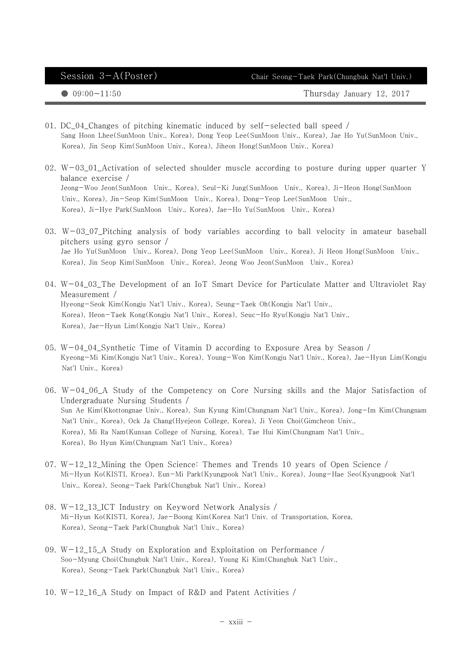Session 3-A(Poster) Chair Seong-Taek Park(Chungbuk Nat'l Univ.)

 $\bigcirc$  09:00~11:50  $\bigcirc$  09:00~11:50

- 01. DC\_04\_Changes of pitching kinematic induced by self-selected ball speed / Sang Hoon Lhee(SunMoon Univ., Korea), Dong Yeop Lee(SunMoon Univ., Korea), Jae Ho Yu(SunMoon Univ., Korea), Jin Seop Kim(SunMoon Univ., Korea), Jiheon Hong(SunMoon Univ., Korea)
- 02.  $W-03_01$  Activation of selected shoulder muscle according to posture during upper quarter Y balance exercise / Jeong-Woo Jeon(SunMoon Univ., Korea), Seul-Ki Jung(SunMoon Univ., Korea), Ji-Heon Hong(SunMoon Univ., Korea), Jin-Seop Kim(SunMoon Univ., Korea), Dong-Yeop Lee(SunMoon Univ., Korea), Ji-Hye Park(SunMoon Univ., Korea), Jae-Ho Yu(SunMoon Univ., Korea)
- 03. W-03\_07\_Pitching analysis of body variables according to ball velocity in amateur baseball pitchers using gyro sensor / Jae Ho Yu(SunMoon Univ., Korea), Dong Yeop Lee(SunMoon Univ., Korea), Ji Heon Hong(SunMoon Univ., Korea), Jin Seop Kim(SunMoon Univ., Korea), Jeong Woo Jeon(SunMoon Univ., Korea)
- 04. W-04\_03\_The Development of an IoT Smart Device for Particulate Matter and Ultraviolet Ray Measurement / Hyeong-Seok Kim(Kongju Nat'l Univ., Korea), Seung-Taek Oh(Kongju Nat'l Univ., Korea), Heon-Taek Kong(Kongju Nat'l Univ., Korea), Seuc-Ho Ryu(Kongju Nat'l Univ., Korea), Jae-Hyun Lim(Kongju Nat'l Univ., Korea)
- 05. W-04\_04\_Synthetic Time of Vitamin D according to Exposure Area by Season / Kyeong-Mi Kim(Kongju Nat'l Univ., Korea), Young-Won Kim(Kongju Nat'l Univ., Korea), Jae-Hyun Lim(Kongju Nat'l Univ., Korea)
- 06. W-04\_06\_A Study of the Competency on Core Nursing skills and the Major Satisfaction of Undergraduate Nursing Students / Sun Ae Kim(Kkottongnae Univ., Korea), Sun Kyung Kim(Chungnam Nat'l Univ., Korea), Jong-Im Kim(Chungnam Nat'l Univ., Korea), Ock Ja Chang(Hyejeon College, Korea), Ji Yeon Choi(Gimcheon Univ., Korea), Mi Ra Nam(Kunsan College of Nursing, Korea), Tae Hui Kim(Chungnam Nat'l Univ., Korea), Bo Hyun Kim(Chungnam Nat'l Univ., Korea)
- 07. W-12\_12\_Mining the Open Science: Themes and Trends 10 years of Open Science / Mi-Hyun Ko(KISTI, Kroea), Eun-Mi Park(Kyungpook Nat'l Univ., Korea), Joung-Hae Seo(Kyungpook Nat'l Univ., Korea), Seong-Taek Park(Chungbuk Nat'l Univ., Korea)
- 08. W-12\_13\_ICT Industry on Keyword Network Analysis / Mi-Hyun Ko(KISTI, Korea), Jae-Boong Kim(Korea Nat'l Univ. of Transportation, Korea, Korea), Seong-Taek Park(Chungbuk Nat'l Univ., Korea)
- 09. W-12\_15\_A Study on Exploration and Exploitation on Performance / Soo-Myung Choi(Chungbuk Nat'l Univ., Korea), Young Ki Kim(Chungbuk Nat'l Univ., Korea), Seong-Taek Park(Chungbuk Nat'l Univ., Korea)
- 10. W-12\_16\_A Study on Impact of R&D and Patent Activities /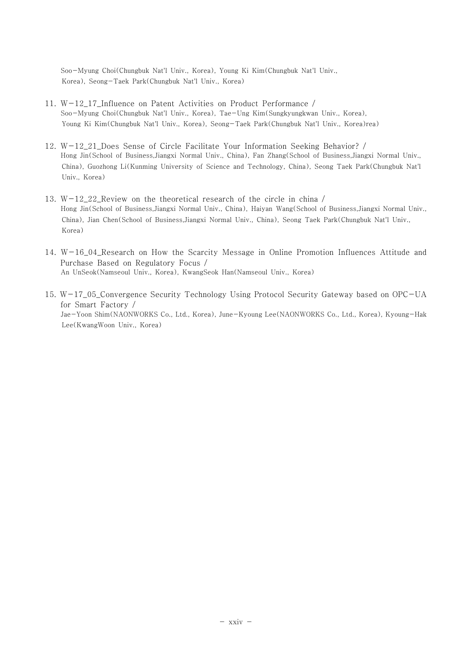Soo-Myung Choi(Chungbuk Nat'l Univ., Korea), Young Ki Kim(Chungbuk Nat'l Univ., Korea), Seong-Taek Park(Chungbuk Nat'l Univ., Korea)

- 11. W-12\_17\_Influence on Patent Activities on Product Performance / Soo-Myung Choi(Chungbuk Nat'l Univ., Korea), Tae-Ung Kim(Sungkyungkwan Univ., Korea), Young Ki Kim(Chungbuk Nat'l Univ., Korea), Seong-Taek Park(Chungbuk Nat'l Univ., Korea)rea)
- 12. W-12\_21\_Does Sense of Circle Facilitate Your Information Seeking Behavior? / Hong Jin(School of Business,Jiangxi Normal Univ., China), Fan Zhang(School of Business,Jiangxi Normal Univ., China), Guozhong Li(Kunming University of Science and Technology, China), Seong Taek Park(Chungbuk Nat'l Univ., Korea)
- 13. W-12\_22\_Review on the theoretical research of the circle in china / Hong Jin(School of Business,Jiangxi Normal Univ., China), Haiyan Wang(School of Business,Jiangxi Normal Univ., China), Jian Chen(School of Business,Jiangxi Normal Univ., China), Seong Taek Park(Chungbuk Nat'l Univ., Korea)
- 14. W-16\_04\_Research on How the Scarcity Message in Online Promotion Influences Attitude and Purchase Based on Regulatory Focus / An UnSeok(Namseoul Univ., Korea), KwangSeok Han(Namseoul Univ., Korea)
- 15. W-17\_05\_Convergence Security Technology Using Protocol Security Gateway based on OPC-UA for Smart Factory / Jae-Yoon Shim(NAONWORKS Co., Ltd., Korea), June-Kyoung Lee(NAONWORKS Co., Ltd., Korea), Kyoung-Hak Lee(KwangWoon Univ., Korea)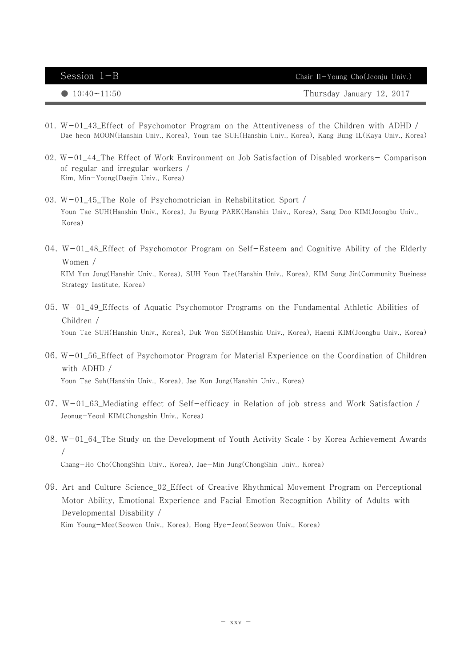| Session $1-B$         | Chair Il-Young Cho(Jeonju Univ.) |
|-----------------------|----------------------------------|
| $\bullet$ 10:40~11:50 | Thursday January 12, 2017        |

- 01. W-01\_43\_Effect of Psychomotor Program on the Attentiveness of the Children with ADHD / Dae heon MOON(Hanshin Univ., Korea), Youn tae SUH(Hanshin Univ., Korea), Kang Bung IL(Kaya Univ., Korea)
- 02. W-01\_44\_The Effect of Work Environment on Job Satisfaction of Disabled workers- Comparison of regular and irregular workers / Kim, Min-Young(Daejin Univ., Korea)
- 03. W-01\_45\_The Role of Psychomotrician in Rehabilitation Sport / Youn Tae SUH(Hanshin Univ., Korea), Ju Byung PARK(Hanshin Univ., Korea), Sang Doo KIM(Joongbu Univ., Korea)
- 04. W-01\_48\_Effect of Psychomotor Program on Self-Esteem and Cognitive Ability of the Elderly Women / KIM Yun Jung(Hanshin Univ., Korea), SUH Youn Tae(Hanshin Univ., Korea), KIM Sung Jin(Community Business Strategy Institute, Korea)
- 05. W-01\_49\_Effects of Aquatic Psychomotor Programs on the Fundamental Athletic Abilities of Children / Youn Tae SUH(Hanshin Univ., Korea), Duk Won SEO(Hanshin Univ., Korea), Haemi KIM(Joongbu Univ., Korea)
- 06. W-01\_56\_Effect of Psychomotor Program for Material Experience on the Coordination of Children with ADHD / Youn Tae Suh(Hanshin Univ., Korea), Jae Kun Jung(Hanshin Univ., Korea)
- 07. W-01\_63\_Mediating effect of Self-efficacy in Relation of job stress and Work Satisfaction / Jeonug-Yeoul KIM(Chongshin Univ., Korea)
- 08. W-01\_64\_The Study on the Development of Youth Activity Scale : by Korea Achievement Awards / Chang-Ho Cho(ChongShin Univ., Korea), Jae-Min Jung(ChongShin Univ., Korea)
- 09. Art and Culture Science\_02\_Effect of Creative Rhythmical Movement Program on Perceptional Motor Ability, Emotional Experience and Facial Emotion Recognition Ability of Adults with Developmental Disability / Kim Young-Mee(Seowon Univ., Korea), Hong Hye-Jeon(Seowon Univ., Korea)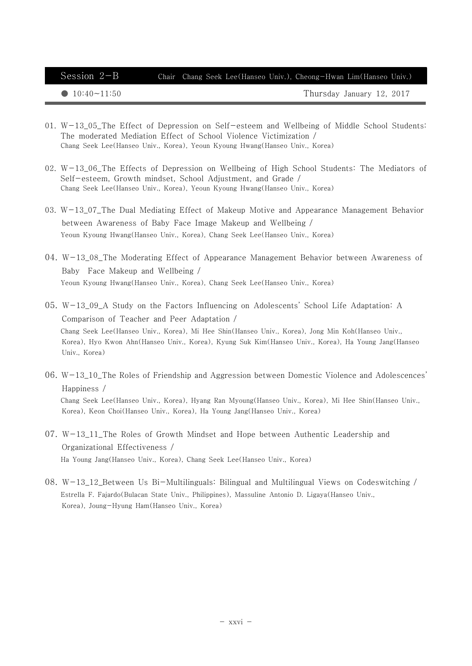## Session 2-B Chair Chang Seek Lee(Hanseo Univ.), Cheong-Hwan Lim(Hanseo Univ.)

● 10:40~11:50 Thursday January 12, 2017

- 01. W-13\_05\_The Effect of Depression on Self-esteem and Wellbeing of Middle School Students: The moderated Mediation Effect of School Violence Victimization / Chang Seek Lee(Hanseo Univ., Korea), Yeoun Kyoung Hwang(Hanseo Univ., Korea)
- 02. W-13 06 The Effects of Depression on Wellbeing of High School Students: The Mediators of Self-esteem, Growth mindset, School Adjustment, and Grade / Chang Seek Lee(Hanseo Univ., Korea), Yeoun Kyoung Hwang(Hanseo Univ., Korea)
- 03. W-13\_07\_The Dual Mediating Effect of Makeup Motive and Appearance Management Behavior between Awareness of Baby Face Image Makeup and Wellbeing / Yeoun Kyoung Hwang(Hanseo Univ., Korea), Chang Seek Lee(Hanseo Univ., Korea)
- 04. W-13\_08\_The Moderating Effect of Appearance Management Behavior between Awareness of Baby Face Makeup and Wellbeing / Yeoun Kyoung Hwang(Hanseo Univ., Korea), Chang Seek Lee(Hanseo Univ., Korea)
- 05. W-13\_09\_A Study on the Factors Influencing on Adolescents' School Life Adaptation: A Comparison of Teacher and Peer Adaptation / Chang Seek Lee(Hanseo Univ., Korea), Mi Hee Shin(Hanseo Univ., Korea), Jong Min Koh(Hanseo Univ., Korea), Hyo Kwon Ahn(Hanseo Univ., Korea), Kyung Suk Kim(Hanseo Univ., Korea), Ha Young Jang(Hanseo Univ., Korea)
- 06. W-13\_10\_The Roles of Friendship and Aggression between Domestic Violence and Adolescences' Happiness / Chang Seek Lee(Hanseo Univ., Korea), Hyang Ran Myoung(Hanseo Univ., Korea), Mi Hee Shin(Hanseo Univ., Korea), Keon Choi(Hanseo Univ., Korea), Ha Young Jang(Hanseo Univ., Korea)
- 07. W-13\_11\_The Roles of Growth Mindset and Hope between Authentic Leadership and Organizational Effectiveness / Ha Young Jang(Hanseo Univ., Korea), Chang Seek Lee(Hanseo Univ., Korea)
- 08. W-13\_12\_Between Us Bi-Multilinguals: Bilingual and Multilingual Views on Codeswitching / Estrella F. Fajardo(Bulacan State Univ., Philippines), Massuline Antonio D. Ligaya(Hanseo Univ., Korea), Joung-Hyung Ham(Hanseo Univ., Korea)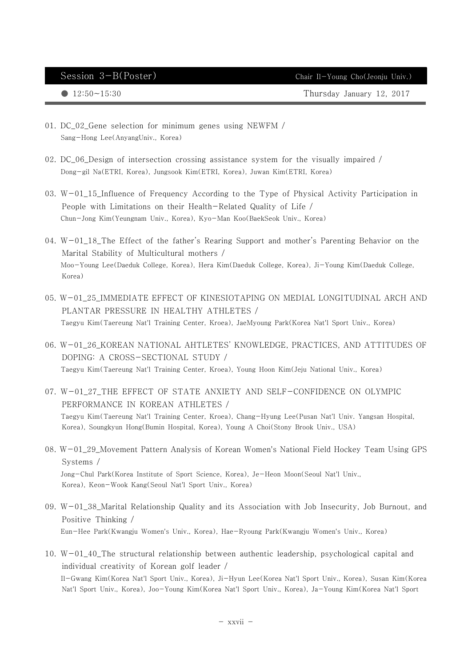$\bullet$  12:50 $\sim$ 15:30 Thursday January 12, 2017

- 01. DC\_02\_Gene selection for minimum genes using NEWFM / Sang-Hong Lee(AnyangUniv., Korea)
- 02. DC\_06\_Design of intersection crossing assistance system for the visually impaired / Dong-gil Na(ETRI, Korea), Jungsook Kim(ETRI, Korea), Juwan Kim(ETRI, Korea)
- 03. W-01\_15\_Influence of Frequency According to the Type of Physical Activity Participation in People with Limitations on their Health-Related Quality of Life / Chun-Jong Kim(Yeungnam Univ., Korea), Kyo-Man Koo(BaekSeok Univ., Korea)
- 04. W-01\_18\_The Effect of the father's Rearing Support and mother's Parenting Behavior on the Marital Stability of Multicultural mothers / Moo-Young Lee(Daeduk College, Korea), Hera Kim(Daeduk College, Korea), Ji-Young Kim(Daeduk College, Korea)
- 05. W-01\_25\_IMMEDIATE EFFECT OF KINESIOTAPING ON MEDIAL LONGITUDINAL ARCH AND PLANTAR PRESSURE IN HEALTHY ATHLETES / Taegyu Kim(Taereung Nat'l Training Center, Kroea), JaeMyoung Park(Korea Nat'l Sport Univ., Korea)
- 06. W-01\_26\_KOREAN NATIONAL AHTLETES' KNOWLEDGE, PRACTICES, AND ATTITUDES OF DOPING: A CROSS-SECTIONAL STUDY / Taegyu Kim(Taereung Nat'l Training Center, Kroea), Young Hoon Kim(Jeju National Univ., Korea)
- 07. W-01\_27\_THE EFFECT OF STATE ANXIETY AND SELF-CONFIDENCE ON OLYMPIC PERFORMANCE IN KOREAN ATHLETES / Taegyu Kim(Taereung Nat'l Training Center, Kroea), Chang-Hyung Lee(Pusan Nat'l Univ. Yangsan Hospital, Korea), Soungkyun Hong(Bumin Hospital, Korea), Young A Choi(Stony Brook Univ., USA)
- 08. W-01\_29\_Movement Pattern Analysis of Korean Women's National Field Hockey Team Using GPS Systems / Jong-Chul Park(Korea Institute of Sport Science, Korea), Je-Heon Moon(Seoul Nat'l Univ., Korea), Keon-Wook Kang(Seoul Nat'l Sport Univ., Korea)
- 09. W-01\_38\_Marital Relationship Quality and its Association with Job Insecurity, Job Burnout, and Positive Thinking / Eun-Hee Park(Kwangju Women's Univ., Korea), Hae-Ryoung Park(Kwangju Women's Univ., Korea)
- 10. W-01\_40\_The structural relationship between authentic leadership, psychological capital and individual creativity of Korean golf leader / Il-Gwang Kim(Korea Nat'l Sport Univ., Korea), Ji-Hyun Lee(Korea Nat'l Sport Univ., Korea), Susan Kim(Korea Nat'l Sport Univ., Korea), Joo-Young Kim(Korea Nat'l Sport Univ., Korea), Ja-Young Kim(Korea Nat'l Sport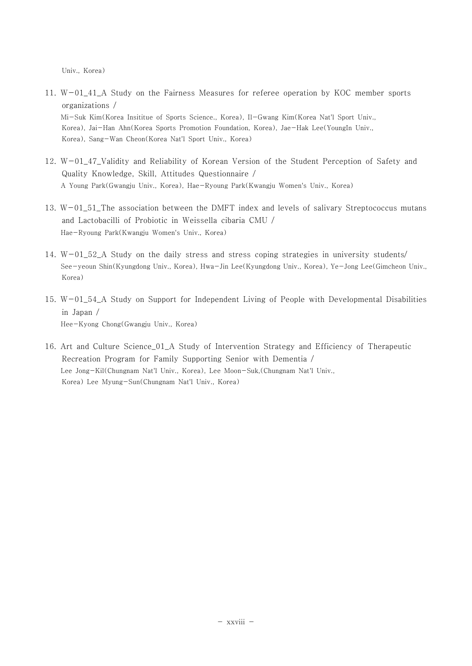Univ., Korea)

- 11. W-01\_41\_A Study on the Fairness Measures for referee operation by KOC member sports organizations / Mi-Suk Kim(Korea Insititue of Sports Science., Korea), Il-Gwang Kim(Korea Nat'l Sport Univ., Korea), Jai-Han Ahn(Korea Sports Promotion Foundation, Korea), Jae-Hak Lee(YoungIn Univ., Korea), Sang-Wan Cheon(Korea Nat'l Sport Univ., Korea)
- 12. W-01\_47\_Validity and Reliability of Korean Version of the Student Perception of Safety and Quality Knowledge, Skill, Attitudes Questionnaire / A Young Park(Gwangju Univ., Korea), Hae-Ryoung Park(Kwangju Women's Univ., Korea)
- 13. W-01\_51\_The association between the DMFT index and levels of salivary Streptococcus mutans and Lactobacilli of Probiotic in Weissella cibaria CMU / Hae-Ryoung Park(Kwangju Women's Univ., Korea)
- 14. W-01\_52\_A Study on the daily stress and stress coping strategies in university students/ See-yeoun Shin(Kyungdong Univ., Korea), Hwa-Jin Lee(Kyungdong Univ., Korea), Ye-Jong Lee(Gimcheon Univ., Korea)
- 15. W-01\_54\_A Study on Support for Independent Living of People with Developmental Disabilities in Japan / Hee-Kyong Chong(Gwangju Univ., Korea)
- 16. Art and Culture Science\_01\_A Study of Intervention Strategy and Efficiency of Therapeutic Recreation Program for Family Supporting Senior with Dementia / Lee Jong-Kil(Chungnam Nat'l Univ., Korea), Lee Moon-Suk,(Chungnam Nat'l Univ., Korea) Lee Myung-Sun(Chungnam Nat'l Univ., Korea)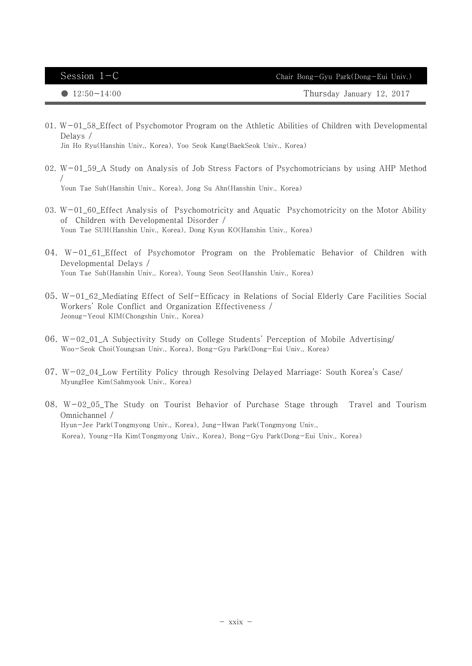● 12:50~14:00 12:50~14:00 Thursday January 12, 2017

01.  $W-01$  58 Effect of Psychomotor Program on the Athletic Abilities of Children with Developmental Delays /

Jin Ho Ryu(Hanshin Univ., Korea), Yoo Seok Kang(BaekSeok Univ., Korea)

- 02. W-01\_59\_A Study on Analysis of Job Stress Factors of Psychomotricians by using AHP Method / Youn Tae Suh(Hanshin Univ., Korea), Jong Su Ahn(Hanshin Univ., Korea)
- 03. W-01\_60\_Effect Analysis of Psychomotricity and Aquatic Psychomotricity on the Motor Ability of Children with Developmental Disorder / Youn Tae SUH(Hanshin Univ., Korea), Dong Kyun KO(Hanshin Univ., Korea)
- 04. W-01\_61\_Effect of Psychomotor Program on the Problematic Behavior of Children with Developmental Delays / Youn Tae Suh(Hanshin Univ., Korea), Young Seon Seo(Hanshin Univ., Korea)
- 05. W-01\_62\_Mediating Effect of Self-Efficacy in Relations of Social Elderly Care Facilities Social Workers' Role Conflict and Organization Effectiveness / Jeonug-Yeoul KIM(Chongshin Univ., Korea)
- 06. W-02\_01\_A Subjectivity Study on College Students' Perception of Mobile Advertising/ Woo-Seok Choi(Youngsan Univ., Korea), Bong-Gyu Park(Dong-Eui Univ., Korea)
- 07. W-02\_04\_Low Fertility Policy through Resolving Delayed Marriage: South Korea's Case/ MyungHee Kim(Sahmyook Univ., Korea)
- 08. W-02\_05\_The Study on Tourist Behavior of Purchase Stage through Travel and Tourism Omnichannel / Hyun-Jee Park(Tongmyong Univ., Korea), Jung-Hwan Park(Tongmyong Univ., Korea), Young-Ha Kim(Tongmyong Univ., Korea), Bong-Gyu Park(Dong-Eui Univ., Korea)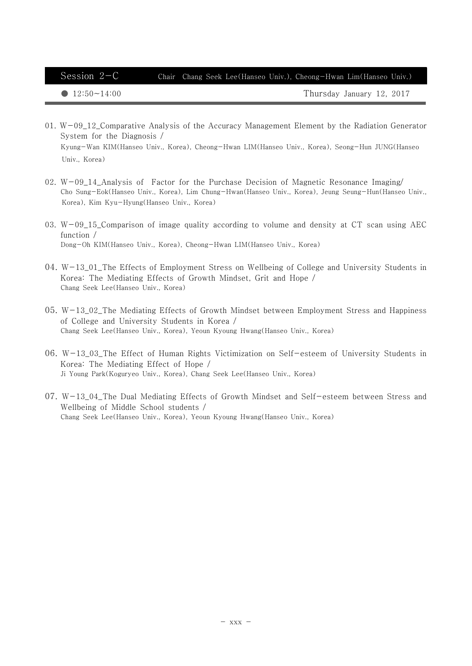Session 2-C Chair Chang Seek Lee(Hanseo Univ.), Cheong-Hwan Lim(Hanseo Univ.)

 $\bullet$  12:50 $\sim$ 14:00 Thursday January 12, 2017

- 01.  $W-09$  12 Comparative Analysis of the Accuracy Management Element by the Radiation Generator System for the Diagnosis / Kyung-Wan KIM(Hanseo Univ., Korea), Cheong-Hwan LIM(Hanseo Univ., Korea), Seong-Hun JUNG(Hanseo Univ., Korea)
- 02. W-09\_14\_Analysis of Factor for the Purchase Decision of Magnetic Resonance Imaging/ Cho Sung-Eok(Hanseo Univ., Korea), Lim Chung-Hwan(Hanseo Univ., Korea), Jeung Seung-Hun(Hanseo Univ., Korea), Kim Kyu-Hyung(Hanseo Univ., Korea)
- 03. W-09\_15\_Comparison of image quality according to volume and density at CT scan using AEC function / Dong-Oh KIM(Hanseo Univ., Korea), Cheong-Hwan LIM(Hanseo Univ., Korea)
- 04. W-13\_01\_The Effects of Employment Stress on Wellbeing of College and University Students in Korea: The Mediating Effects of Growth Mindset, Grit and Hope / Chang Seek Lee(Hanseo Univ., Korea)
- 05. W-13\_02\_The Mediating Effects of Growth Mindset between Employment Stress and Happiness of College and University Students in Korea / Chang Seek Lee(Hanseo Univ., Korea), Yeoun Kyoung Hwang(Hanseo Univ., Korea)
- 06. W-13\_03\_The Effect of Human Rights Victimization on Self-esteem of University Students in Korea: The Mediating Effect of Hope / Ji Young Park(Koguryeo Univ., Korea), Chang Seek Lee(Hanseo Univ., Korea)
- 07. W-13\_04\_The Dual Mediating Effects of Growth Mindset and Self-esteem between Stress and Wellbeing of Middle School students / Chang Seek Lee(Hanseo Univ., Korea), Yeoun Kyoung Hwang(Hanseo Univ., Korea)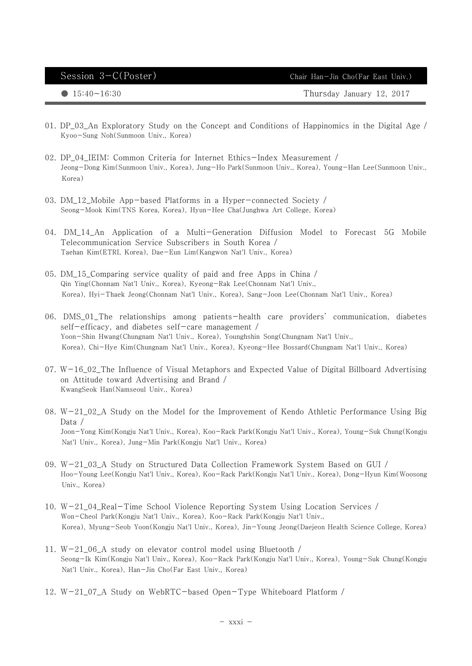Session 3-C(Poster) Chair Han-Jin Cho(Far East Univ.)

 $\bullet$  15:40 $\sim$ 16:30 Thursday January 12, 2017

- 01. DP\_03\_An Exploratory Study on the Concept and Conditions of Happinomics in the Digital Age / Kyoo-Sung Noh(Sunmoon Univ., Korea)
- 02. DP\_04\_IEIM: Common Criteria for Internet Ethics-Index Measurement / Jeong-Dong Kim(Sunmoon Univ., Korea), Jung-Ho Park(Sunmoon Univ., Korea), Young-Han Lee(Sunmoon Univ., Korea)
- 03. DM\_12\_Mobile App-based Platforms in a Hyper-connected Society / Seong-Mook Kim(TNS Korea, Korea), Hyun-Hee Cha(Junghwa Art College, Korea)
- 04. DM\_14\_An Application of a Multi-Generation Diffusion Model to Forecast 5G Mobile Telecommunication Service Subscribers in South Korea / Taehan Kim(ETRI, Korea), Dae-Eun Lim(Kangwon Nat'l Univ., Korea)
- 05. DM\_15\_Comparing service quality of paid and free Apps in China / Qin Ying(Chonnam Nat'l Univ., Korea), Kyeong-Rak Lee(Chonnam Nat'l Univ., Korea), Hyi-Thaek Jeong(Chonnam Nat'l Univ., Korea), Sang-Joon Lee(Chonnam Nat'l Univ., Korea)
- 06. DMS\_01\_The relationships among patients-health care providers' communication, diabetes self-efficacy, and diabetes self-care management / Yoon-Shin Hwang(Chungnam Nat'l Univ., Korea), Younghshin Song(Chungnam Nat'l Univ., Korea), Chi-Hye Kim(Chungnam Nat'l Univ., Korea), Kyeong-Hee Bossard(Chungnam Nat'l Univ., Korea)
- 07. W-16\_02\_The Influence of Visual Metaphors and Expected Value of Digital Billboard Advertising on Attitude toward Advertising and Brand / KwangSeok Han(Namseoul Univ., Korea)
- 08. W-21\_02\_A Study on the Model for the Improvement of Kendo Athletic Performance Using Big Data / Joon-Yong Kim(Kongju Nat'l Univ., Korea), Koo-Rack Park(Kongju Nat'l Univ., Korea), Young-Suk Chung(Kongju Nat'l Univ., Korea), Jung-Min Park(Kongju Nat'l Univ., Korea)
- 09. W-21\_03\_A Study on Structured Data Collection Framework System Based on GUI / Hoo-Young Lee(Kongju Nat'l Univ., Korea), Koo-Rack Park(Kongju Nat'l Univ., Korea), Dong-Hyun Kim(Woosong Univ., Korea)
- 10. W-21\_04\_Real-Time School Violence Reporting System Using Location Services / Won-Cheol Park(Kongju Nat'l Univ., Korea), Koo-Rack Park(Kongju Nat'l Univ., Korea), Myung-Seob Yoon(Kongju Nat'l Univ., Korea), Jin-Young Jeong(Daejeon Health Science College, Korea)
- 11. W-21\_06\_A study on elevator control model using Bluetooth / Seong-Ik Kim(Kongju Nat'l Univ., Korea), Koo-Rack Park(Kongju Nat'l Univ., Korea), Young-Suk Chung(Kongju Nat'l Univ., Korea), Han-Jin Cho(Far East Univ., Korea)
- 12. W-21\_07\_A Study on WebRTC-based Open-Type Whiteboard Platform /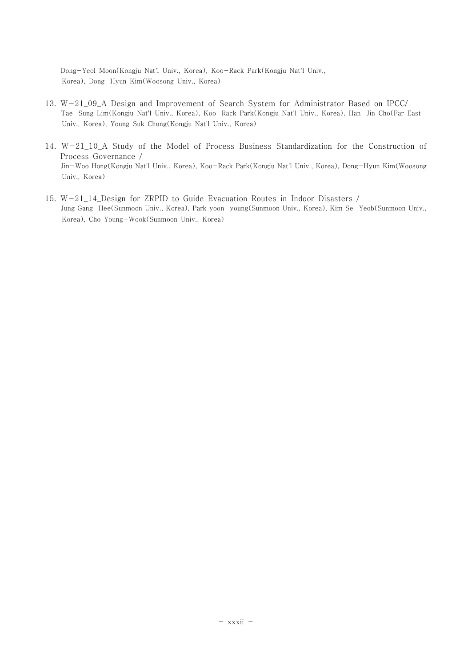Dong-Yeol Moon(Kongju Nat'l Univ., Korea), Koo-Rack Park(Kongju Nat'l Univ., Korea), Dong-Hyun Kim(Woosong Univ., Korea)

- 13. W-21\_09\_A Design and Improvement of Search System for Administrator Based on IPCC/ Tae-Sung Lim(Kongju Nat'l Univ., Korea), Koo-Rack Park(Kongju Nat'l Univ., Korea), Han-Jin Cho(Far East Univ., Korea), Young Suk Chung(Kongju Nat'l Univ., Korea)
- 14. W-21\_10\_A Study of the Model of Process Business Standardization for the Construction of Process Governance / Jin-Woo Hong(Kongju Nat'l Univ., Korea), Koo-Rack Park(Kongju Nat'l Univ., Korea), Dong-Hyun Kim(Woosong Univ., Korea)
- 15. W-21\_14\_Design for ZRPID to Guide Evacuation Routes in Indoor Disasters / Jung Gang-Hee(Sunmoon Univ., Korea), Park yoon-young(Sunmoon Univ., Korea), Kim Se-Yeob(Sunmoon Univ., Korea), Cho Young-Wook(Sunmoon Univ., Korea)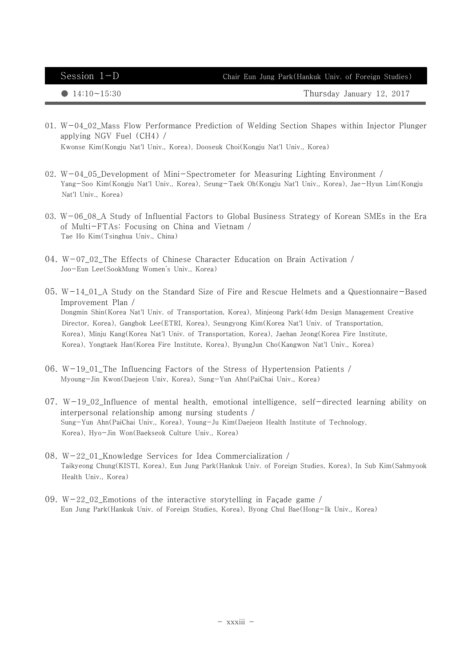Session 1-D Chair Eun Jung Park(Hankuk Univ. of Foreign Studies)

 $\bullet$  14:10 $\sim$ 15:30 Thursday January 12, 2017

- 01. W-04\_02\_Mass Flow Performance Prediction of Welding Section Shapes within Injector Plunger applying NGV Fuel (CH4) / Kwonse Kim(Kongju Nat'l Univ., Korea), Dooseuk Choi(Kongju Nat'l Univ., Korea)
- 02. W-04\_05\_Development of Mini-Spectrometer for Measuring Lighting Environment / Yang-Soo Kim(Kongju Nat'l Univ., Korea), Seung-Taek Oh(Kongju Nat'l Univ., Korea), Jae-Hyun Lim(Kongju Nat'l Univ., Korea)
- 03. W-06\_08\_A Study of Influential Factors to Global Business Strategy of Korean SMEs in the Era of Multi-FTAs: Focusing on China and Vietnam / Tae Ho Kim(Tsinghua Univ., China)
- 04. W-07\_02\_The Effects of Chinese Character Education on Brain Activation / Joo-Eun Lee(SookMung Women's Univ., Korea)
- 05. W-14\_01\_A Study on the Standard Size of Fire and Rescue Helmets and a Questionnaire-Based Improvement Plan / Dongmin Shin(Korea Nat'l Univ. of Transportation, Korea), Minjeong Park(4dm Design Management Creative Director, Korea), Gangbok Lee(ETRI, Korea), Seungyong Kim(Korea Nat'l Univ. of Transportation, Korea), Minju Kang(Korea Nat'l Univ. of Transportation, Korea), Jaehan Jeong(Korea Fire Institute, Korea), Yongtaek Han(Korea Fire Institute, Korea), ByungJun Cho(Kangwon Nat'l Univ., Korea)
- 06. W-19\_01\_The Influencing Factors of the Stress of Hypertension Patients / Myoung-Jin Kwon(Daejeon Univ, Korea), Sung-Yun Ahn(PaiChai Univ., Korea)
- $07. W-19_02_$ Influence of mental health, emotional intelligence, self-directed learning ability on interpersonal relationship among nursing students / Sung-Yun Ahn(PaiChai Univ., Korea), Young-Ju Kim(Daejeon Health Institute of Technology, Korea), Hyo-Jin Won(Baekseok Culture Univ., Korea)
- 08. W-22\_01\_Knowledge Services for Idea Commercialization / Taikyeong Chung(KISTI, Korea), Eun Jung Park(Hankuk Univ. of Foreign Studies, Korea), In Sub Kim(Sahmyook Health Univ., Korea)
- 09.  $W-22$  02 Emotions of the interactive storytelling in Facade game / Eun Jung Park(Hankuk Univ. of Foreign Studies, Korea), Byong Chul Bae(Hong-Ik Univ., Korea)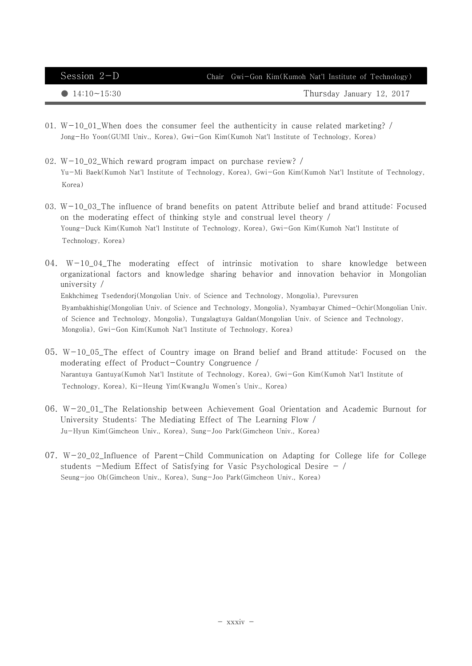| Session $2-D$         | Chair Gwi-Gon Kim(Kumoh Nat'l Institute of Technology) |
|-----------------------|--------------------------------------------------------|
| $\bullet$ 14:10~15:30 | Thursday January 12, 2017                              |

- 01. W-10\_01\_When does the consumer feel the authenticity in cause related marketing? / Jong-Ho Yoon(GUMI Univ., Korea), Gwi-Gon Kim(Kumoh Nat'l Institute of Technology, Korea)
- 02. W-10\_02\_Which reward program impact on purchase review? / Yu-Mi Baek(Kumoh Nat'l Institute of Technology, Korea), Gwi-Gon Kim(Kumoh Nat'l Institute of Technology, Korea)
- 03.  $W-10$  03 The influence of brand benefits on patent Attribute belief and brand attitude: Focused on the moderating effect of thinking style and construal level theory / Young-Duck Kim(Kumoh Nat'l Institute of Technology, Korea), Gwi-Gon Kim(Kumoh Nat'l Institute of Technology, Korea)
- 04. W-10\_04\_The moderating effect of intrinsic motivation to share knowledge between organizational factors and knowledge sharing behavior and innovation behavior in Mongolian university / Enkhchimeg Tsedendorj(Mongolian Univ. of Science and Technology, Mongolia), Purevsuren Byambakhishig(Mongolian Univ. of Science and Technology, Mongolia), Nyambayar Chimed-Ochir(Mongolian Univ. of Science and Technology, Mongolia), Tungalagtuya Galdan(Mongolian Univ. of Science and Technology, Mongolia), Gwi-Gon Kim(Kumoh Nat'l Institute of Technology, Korea)
- 05. W-10\_05\_The effect of Country image on Brand belief and Brand attitude: Focused on the moderating effect of Product-Country Congruence / Narantuya Gantuya(Kumoh Nat'l Institute of Technology, Korea), Gwi-Gon Kim(Kumoh Nat'l Institute of Technology, Korea), Ki-Heung Yim(KwangJu Women's Univ., Korea)
- 06. W-20\_01\_The Relationship between Achievement Goal Orientation and Academic Burnout for University Students: The Mediating Effect of The Learning Flow / Ju-Hyun Kim(Gimcheon Univ., Korea), Sung-Joo Park(Gimcheon Univ., Korea)
- 07. W-20\_02\_Influence of Parent-Child Communication on Adapting for College life for College students  $-Medium$  Effect of Satisfying for Vasic Psychological Desire  $-$  / Seung-joo Oh(Gimcheon Univ., Korea), Sung-Joo Park(Gimcheon Univ., Korea)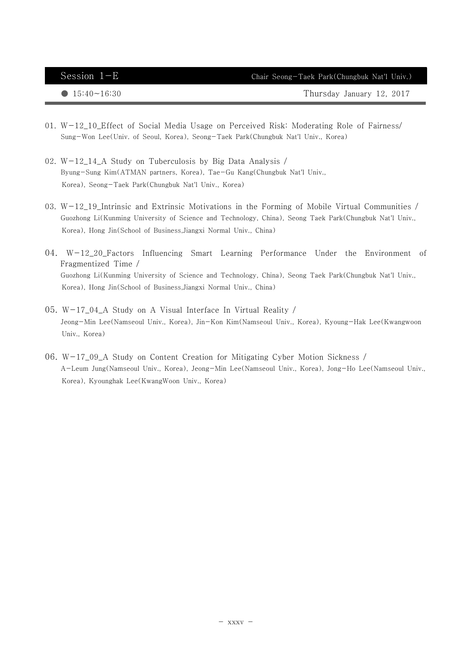| Session $1-E$         | Chair Seong-Taek Park(Chungbuk Nat'l Univ.) |
|-----------------------|---------------------------------------------|
| $\bullet$ 15:40~16:30 | Thursday January 12, 2017                   |

- 01.  $W-12$  10 Effect of Social Media Usage on Perceived Risk: Moderating Role of Fairness/ Sung-Won Lee(Univ. of Seoul, Korea), Seong-Taek Park(Chungbuk Nat'l Univ., Korea)
- 02. W-12\_14\_A Study on Tuberculosis by Big Data Analysis / Byung-Sung Kim(ATMAN partners, Korea), Tae-Gu Kang(Chungbuk Nat'l Univ., Korea), Seong-Taek Park(Chungbuk Nat'l Univ., Korea)
- 03.  $W-12_19_$ Intrinsic and Extrinsic Motivations in the Forming of Mobile Virtual Communities / Guozhong Li(Kunming University of Science and Technology, China), Seong Taek Park(Chungbuk Nat'l Univ., Korea), Hong Jin(School of Business,Jiangxi Normal Univ., China)
- 04. W-12\_20\_Factors Influencing Smart Learning Performance Under the Environment of Fragmentized Time / Guozhong Li(Kunming University of Science and Technology, China), Seong Taek Park(Chungbuk Nat'l Univ., Korea), Hong Jin(School of Business,Jiangxi Normal Univ., China)
- 05. W-17\_04\_A Study on A Visual Interface In Virtual Reality / Jeong-Min Lee(Namseoul Univ., Korea), Jin-Kon Kim(Namseoul Univ., Korea), Kyoung-Hak Lee(Kwangwoon Univ., Korea)
- 06. W-17\_09\_A Study on Content Creation for Mitigating Cyber Motion Sickness / A-Leum Jung(Namseoul Univ., Korea), Jeong-Min Lee(Namseoul Univ., Korea), Jong-Ho Lee(Namseoul Univ., Korea), Kyounghak Lee(KwangWoon Univ., Korea)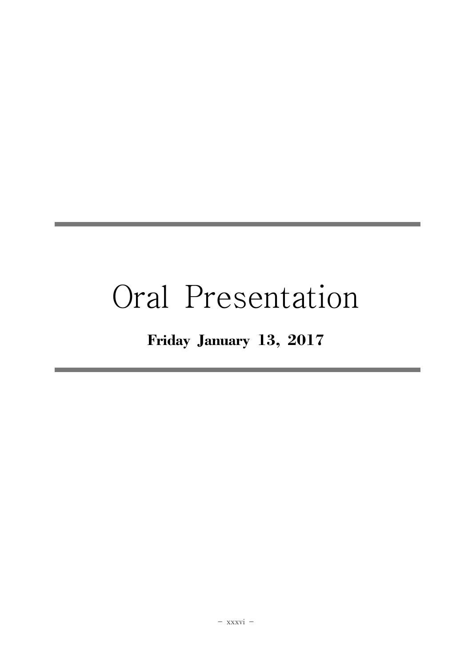# Oral Presentation

# Friday January 13, 2017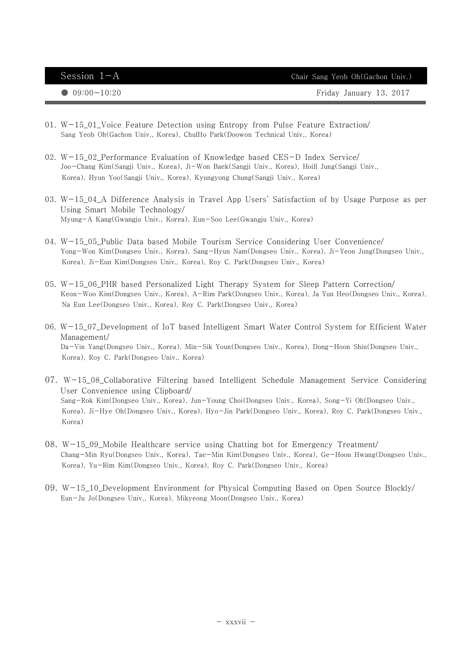$Session \t1-A$  Chair Sang Yeob Oh(Gachon Univ.)

● 09:00~10:20 **Friday January 13, 2017** 

- 01. W-15\_01\_Voice Feature Detection using Entropy from Pulse Feature Extraction/ Sang Yeob Oh(Gachon Univ., Korea), ChulHo Park(Doowon Technical Univ., Korea)
- 02. W-15\_02\_Performance Evaluation of Knowledge based CES-D Index Service/ Joo-Chang Kim(Sangji Univ., Korea), Ji-Won Baek(Sangji Univ., Korea), Hoill Jung(Sangji Univ., Korea), Hyun Yoo(Sangji Univ., Korea), Kyungyong Chung(Sangji Univ., Korea)
- 03. W-15\_04\_A Difference Analysis in Travel App Users' Satisfaction of by Usage Purpose as per Using Smart Mobile Technology/ Myung-A Kang(Gwangju Univ., Korea), Eun-Soo Lee(Gwangju Univ., Korea)
- 04. W-15\_05\_Public Data based Mobile Tourism Service Considering User Convenience/ Yong-Won Kim(Dongseo Univ., Korea), Sang-Hyun Nam(Dongseo Univ., Korea), Ji-Yeon Jung(Dongseo Univ., Korea), Ji-Eun Kim(Dongseo Univ., Korea), Roy C. Park(Dongseo Univ., Korea)
- 05. W-15\_06\_PHR based Personalized Light Therapy System for Sleep Pattern Correction/ Keon-Woo Kim(Dongseo Univ., Korea), A-Rim Park(Dongseo Univ., Korea), Ja Yun Heo(Dongseo Univ., Korea), Na Eun Lee(Dongseo Univ., Korea), Roy C. Park(Dongseo Univ., Korea)
- 06. W-15\_07\_Development of IoT based Intelligent Smart Water Control System for Efficient Water Management/ Da-Vin Yang(Dongseo Univ., Korea), Min-Sik Youn(Dongseo Univ., Korea), Dong-Hoon Shin(Dongseo Univ., Korea), Roy C. Park(Dongseo Univ., Korea)
- 07. W-15\_08\_Collaborative Filtering based Intelligent Schedule Management Service Considering User Convenience using Clipboard/ Sang-Rok Kim(Dongseo Univ., Korea), Jun-Young Choi(Dongseo Univ., Korea), Song-Yi Oh(Dongseo Univ., Korea), Ji-Hye Oh(Dongseo Univ., Korea), Hyo-Jin Park(Dongseo Univ., Korea), Roy C. Park(Dongseo Univ., Korea)
- 08. W-15\_09\_Mobile Healthcare service using Chatting bot for Emergency Treatment/ Chang-Min Ryu(Dongseo Univ., Korea), Tae-Min Kim(Dongseo Univ., Korea), Ge-Hoon Hwang(Dongseo Univ., Korea), Yu-Rim Kim(Dongseo Univ., Korea), Roy C. Park(Dongseo Univ., Korea)
- 09. W-15\_10\_Development Environment for Physical Computing Based on Open Source Blockly/ Eun-Ju Jo(Dongseo Univ., Korea), Mikyeong Moon(Dongseo Univ., Korea)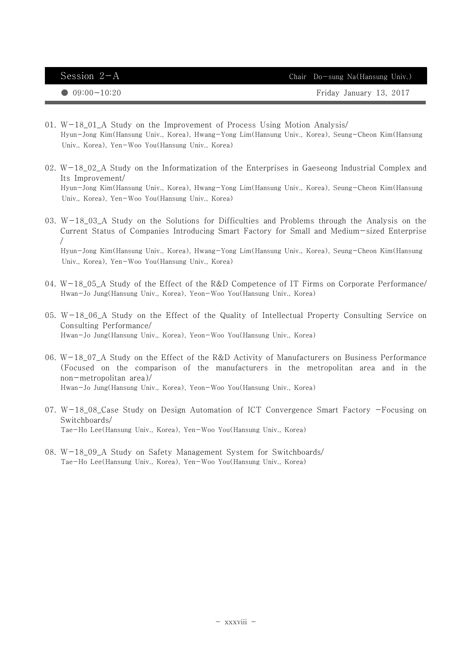| Friday January 13, 2017<br>$\bigcirc$ 09:00~10:20 | Session $2-A$ | Chair Do-sung Na(Hansung Univ.) |
|---------------------------------------------------|---------------|---------------------------------|
|                                                   |               |                                 |

- 01.  $W-18_01_A$  Study on the Improvement of Process Using Motion Analysis/ Hyun-Jong Kim(Hansung Univ., Korea), Hwang-Yong Lim(Hansung Univ., Korea), Seung-Cheon Kim(Hansung Univ., Korea), Yen-Woo You(Hansung Univ., Korea)
- 02.  $W-18$  02 A Study on the Informatization of the Enterprises in Gaeseong Industrial Complex and Its Improvement/ Hyun-Jong Kim(Hansung Univ., Korea), Hwang-Yong Lim(Hansung Univ., Korea), Seung-Cheon Kim(Hansung Univ., Korea), Yen-Woo You(Hansung Univ., Korea)
- 03. W $-18\_03\_A$  Study on the Solutions for Difficulties and Problems through the Analysis on the Current Status of Companies Introducing Smart Factory for Small and Medium-sized Enterprise / Hyun-Jong Kim(Hansung Univ., Korea), Hwang-Yong Lim(Hansung Univ., Korea), Seung-Cheon Kim(Hansung Univ., Korea), Yen-Woo You(Hansung Univ., Korea)
- 04. W-18\_05\_A Study of the Effect of the R&D Competence of IT Firms on Corporate Performance/ Hwan-Jo Jung(Hansung Univ., Korea), Yeon-Woo You(Hansung Univ., Korea)
- 05. W-18 06 A Study on the Effect of the Quality of Intellectual Property Consulting Service on Consulting Performance/ Hwan-Jo Jung(Hansung Univ., Korea), Yeon-Woo You(Hansung Univ., Korea)
- 06. W-18\_07 A Study on the Effect of the R&D Activity of Manufacturers on Business Performance (Focused on the comparison of the manufacturers in the metropolitan area and in the non-metropolitan area)/ Hwan-Jo Jung(Hansung Univ., Korea), Yeon-Woo You(Hansung Univ., Korea)
- 07. W-18\_08\_Case Study on Design Automation of ICT Convergence Smart Factory -Focusing on Switchboards/ Tae-Ho Lee(Hansung Univ., Korea), Yen-Woo You(Hansung Univ., Korea)
- 08. W-18\_09\_A Study on Safety Management System for Switchboards/ Tae-Ho Lee(Hansung Univ., Korea), Yen-Woo You(Hansung Univ., Korea)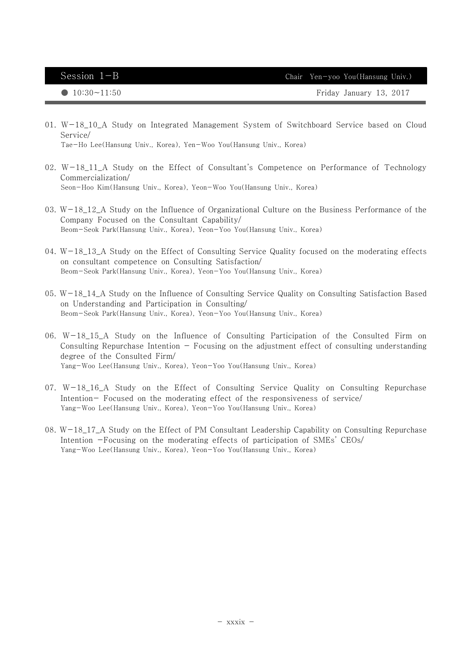01. W-18\_10\_A Study on Integrated Management System of Switchboard Service based on Cloud Service/

Tae-Ho Lee(Hansung Univ., Korea), Yen-Woo You(Hansung Univ., Korea)

- 02.  $W-18_11_A$  Study on the Effect of Consultant's Competence on Performance of Technology Commercialization/ Seon-Hoo Kim(Hansung Univ., Korea), Yeon-Woo You(Hansung Univ., Korea)
- 03.  $W-18_12_A$  Study on the Influence of Organizational Culture on the Business Performance of the Company Focused on the Consultant Capability/ Beom-Seok Park(Hansung Univ., Korea), Yeon-Yoo You(Hansung Univ., Korea)
- 04. W-18\_13\_A Study on the Effect of Consulting Service Quality focused on the moderating effects on consultant competence on Consulting Satisfaction/ Beom-Seok Park(Hansung Univ., Korea), Yeon-Yoo You(Hansung Univ., Korea)
- 05. W-18\_14\_A Study on the Influence of Consulting Service Quality on Consulting Satisfaction Based on Understanding and Participation in Consulting/ Beom-Seok Park(Hansung Univ., Korea), Yeon-Yoo You(Hansung Univ., Korea)
- 06. W-18\_15\_A Study on the Influence of Consulting Participation of the Consulted Firm on Consulting Repurchase Intention  $-$  Focusing on the adjustment effect of consulting understanding degree of the Consulted Firm/ Yang-Woo Lee(Hansung Univ., Korea), Yeon-Yoo You(Hansung Univ., Korea)
- 07. W-18\_16\_A Study on the Effect of Consulting Service Quality on Consulting Repurchase Intention- Focused on the moderating effect of the responsiveness of service/ Yang-Woo Lee(Hansung Univ., Korea), Yeon-Yoo You(Hansung Univ., Korea)
- 08. W-18\_17\_A Study on the Effect of PM Consultant Leadership Capability on Consulting Repurchase Intention -Focusing on the moderating effects of participation of SMEs' CEOs/ Yang-Woo Lee(Hansung Univ., Korea), Yeon-Yoo You(Hansung Univ., Korea)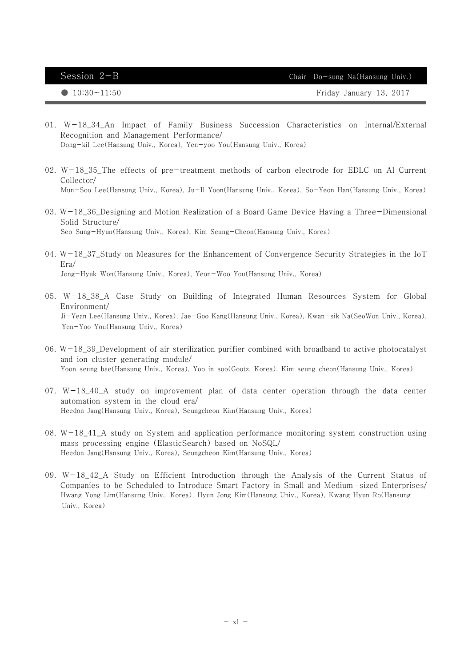- 01. W-18\_34\_An Impact of Family Business Succession Characteristics on Internal/External Recognition and Management Performance/ Dong-kil Lee(Hansung Univ., Korea), Yen-yoo You(Hansung Univ., Korea)
- 02. W-18\_35\_The effects of pre-treatment methods of carbon electrode for EDLC on Al Current Collector/ Mun-Soo Lee(Hansung Univ., Korea), Ju-Il Yoon(Hansung Univ., Korea), So-Yeon Han(Hansung Univ., Korea)
- 03. W-18\_36\_Designing and Motion Realization of a Board Game Device Having a Three-Dimensional Solid Structure/ Seo Sung-Hyun(Hansung Univ., Korea), Kim Seung-Cheon(Hansung Univ., Korea)
- 04.  $W-18_37_$ Study on Measures for the Enhancement of Convergence Security Strategies in the IoT Era/ Jong-Hyuk Won(Hansung Univ., Korea), Yeon-Woo You(Hansung Univ., Korea)
- 05. W-18\_38\_A Case Study on Building of Integrated Human Resources System for Global Environment/ Ji-Yean Lee(Hansung Univ., Korea), Jae-Goo Kang(Hansung Univ., Korea), Kwan-sik Na(SeoWon Univ., Korea), Yen-Yoo You(Hansung Univ., Korea)
- 06.  $W-18_39_$ Development of air sterilization purifier combined with broadband to active photocatalyst and ion cluster generating module/ Yoon seung bae(Hansung Univ., Korea), Yoo in soo(Gootz, Korea), Kim seung cheon(Hansung Univ., Korea)
- $07.$  W $-18.40$  A study on improvement plan of data center operation through the data center automation system in the cloud era/ Heedon Jang(Hansung Univ., Korea), Seungcheon Kim(Hansung Univ., Korea)
- 08. W-18\_41\_A study on System and application performance monitoring system construction using mass processing engine (ElasticSearch) based on NoSQL/ Heedon Jang(Hansung Univ., Korea), Seungcheon Kim(Hansung Univ., Korea)
- 09. W-18\_42\_A Study on Efficient Introduction through the Analysis of the Current Status of Companies to be Scheduled to Introduce Smart Factory in Small and Medium-sized Enterprises/ Hwang Yong Lim(Hansung Univ., Korea), Hyun Jong Kim(Hansung Univ., Korea), Kwang Hyun Ro(Hansung Univ., Korea)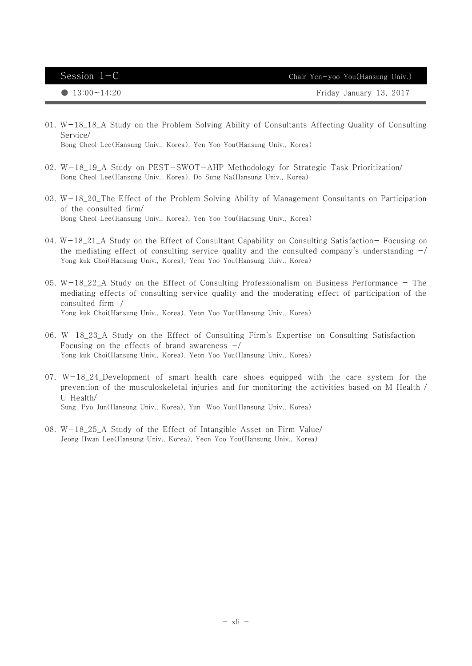● 13:00~14:20 Friday January 13, 2017

01. W-18\_18\_A Study on the Problem Solving Ability of Consultants Affecting Quality of Consulting Service/

Bong Cheol Lee(Hansung Univ., Korea), Yen Yoo You(Hansung Univ., Korea)

- 02. W-18\_19\_A Study on PEST-SWOT-AHP Methodology for Strategic Task Prioritization/ Bong Cheol Lee(Hansung Univ., Korea), Do Sung Na(Hansung Univ., Korea)
- 03. W-18\_20\_The Effect of the Problem Solving Ability of Management Consultants on Participation of the consulted firm/ Bong Cheol Lee(Hansung Univ., Korea), Yen Yoo You(Hansung Univ., Korea)
- 04. W-18\_21\_A Study on the Effect of Consultant Capability on Consulting Satisfaction- Focusing on the mediating effect of consulting service quality and the consulted company's understanding  $-\prime$ Yong kuk Choi(Hansung Univ., Korea), Yeon Yoo You(Hansung Univ., Korea)
- 05. W $-18\_22\_A$  Study on the Effect of Consulting Professionalism on Business Performance The mediating effects of consulting service quality and the moderating effect of participation of the consulted firm-/ Yong kuk Choi(Hansung Univ., Korea), Yeon Yoo You(Hansung Univ., Korea)
- 06. W-18\_23\_A Study on the Effect of Consulting Firm's Expertise on Consulting Satisfaction Focusing on the effects of brand awareness -/ Yong kuk Choi(Hansung Univ., Korea), Yeon Yoo You(Hansung Univ., Korea)
- 07.  $W-18_24_$ Development of smart health care shoes equipped with the care system for the prevention of the musculoskeletal injuries and for monitoring the activities based on M Health / U Health/ Sung-Pyo Jun(Hansung Univ., Korea), Yun-Woo You(Hansung Univ., Korea)
- 08. W-18\_25\_A Study of the Effect of Intangible Asset on Firm Value/ Jeong Hwan Lee(Hansung Univ., Korea), Yeon Yoo You(Hansung Univ., Korea)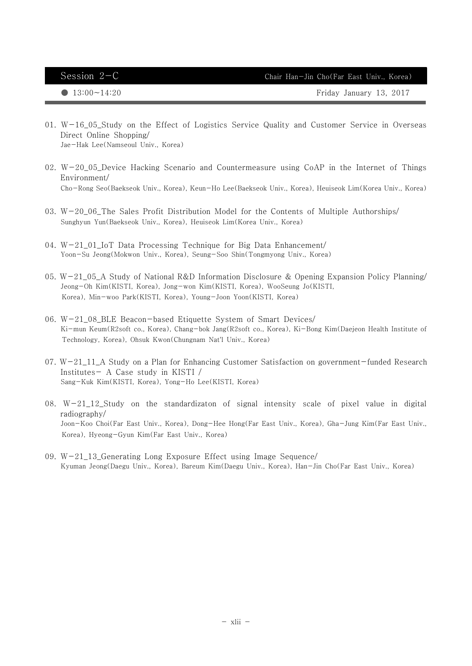Session 2-C Chair Han-Jin Cho(Far East Univ., Korea)

- 01. W-16\_05\_Study on the Effect of Logistics Service Quality and Customer Service in Overseas Direct Online Shopping/ Jae-Hak Lee(Namseoul Univ., Korea)
- 02. W-20\_05\_Device Hacking Scenario and Countermeasure using CoAP in the Internet of Things Environment/ Cho-Rong Seo(Baekseok Univ., Korea), Keun-Ho Lee(Baekseok Univ., Korea), Heuiseok Lim(Korea Univ., Korea)
- 03. W-20\_06\_The Sales Profit Distribution Model for the Contents of Multiple Authorships/ Sunghyun Yun(Baekseok Univ., Korea), Heuiseok Lim(Korea Univ., Korea)
- 04. W-21\_01\_IoT Data Processing Technique for Big Data Enhancement/ Yoon-Su Jeong(Mokwon Univ., Korea), Seung-Soo Shin(Tongmyong Univ., Korea)
- 05. W-21\_05\_A Study of National R&D Information Disclosure & Opening Expansion Policy Planning/ Jeong-Oh Kim(KISTI, Korea), Jong-won Kim(KISTI, Korea), WooSeung Jo(KISTI, Korea), Min-woo Park(KISTI, Korea), Young-Joon Yoon(KISTI, Korea)
- 06. W-21\_08\_BLE Beacon-based Etiquette System of Smart Devices/ Ki-mun Keum(R2soft co., Korea), Chang-bok Jang(R2soft co., Korea), Ki-Bong Kim(Daejeon Health Institute of Technology, Korea), Ohsuk Kwon(Chungnam Nat'l Univ., Korea)
- 07.  $W-21_11_A$  Study on a Plan for Enhancing Customer Satisfaction on government-funded Research Institutes- A Case study in KISTI / Sang-Kuk Kim(KISTI, Korea), Yong-Ho Lee(KISTI, Korea)
- 08.  $W-21_12_5$  Study on the standardizaton of signal intensity scale of pixel value in digital radiography/ Joon-Koo Choi(Far East Univ., Korea), Dong-Hee Hong(Far East Univ., Korea), Gha-Jung Kim(Far East Univ., Korea), Hyeong-Gyun Kim(Far East Univ., Korea)
- 09. W-21\_13\_Generating Long Exposure Effect using Image Sequence/ Kyuman Jeong(Daegu Univ., Korea), Bareum Kim(Daegu Univ., Korea), Han-Jin Cho(Far East Univ., Korea)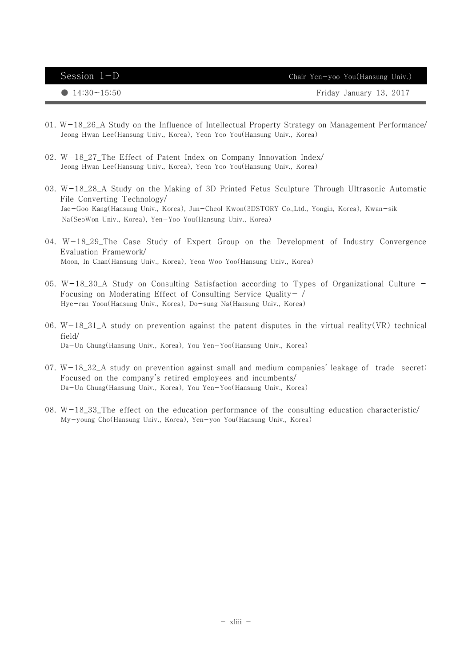| Session $1-D$      | Chair Yen-yoo You(Hansung Univ.) |
|--------------------|----------------------------------|
| $14:30 \sim 15:50$ | Friday January 13, 2017          |

- 01. W-18\_26\_A Study on the Influence of Intellectual Property Strategy on Management Performance/ Jeong Hwan Lee(Hansung Univ., Korea), Yeon Yoo You(Hansung Univ., Korea)
- 02. W-18\_27\_The Effect of Patent Index on Company Innovation Index/ Jeong Hwan Lee(Hansung Univ., Korea), Yeon Yoo You(Hansung Univ., Korea)
- 03. W-18\_28\_A Study on the Making of 3D Printed Fetus Sculpture Through Ultrasonic Automatic File Converting Technology/ Jae-Goo Kang(Hansung Univ., Korea), Jun-Cheol Kwon(3DSTORY Co.,Ltd., Yongin, Korea), Kwan-sik Na(SeoWon Univ., Korea), Yen-Yoo You(Hansung Univ., Korea)
- 04. W-18\_29\_The Case Study of Expert Group on the Development of Industry Convergence Evaluation Framework/ Moon, In Chan(Hansung Univ., Korea), Yeon Woo Yoo(Hansung Univ., Korea)
- 05. W-18\_30\_A Study on Consulting Satisfaction according to Types of Organizational Culture Focusing on Moderating Effect of Consulting Service Quality- / Hye-ran Yoon(Hansung Univ., Korea), Do-sung Na(Hansung Univ., Korea)
- 06. W-18\_31\_A study on prevention against the patent disputes in the virtual reality(VR) technical field/ Da-Un Chung(Hansung Univ., Korea), You Yen-Yoo(Hansung Univ., Korea)
- $07. W-18.32.A$  study on prevention against small and medium companies' leakage of trade secret: Focused on the company's retired employees and incumbents/ Da-Un Chung(Hansung Univ., Korea), You Yen-Yoo(Hansung Univ., Korea)
- 08. W-18\_33\_The effect on the education performance of the consulting education characteristic/ My-young Cho(Hansung Univ., Korea), Yen-yoo You(Hansung Univ., Korea)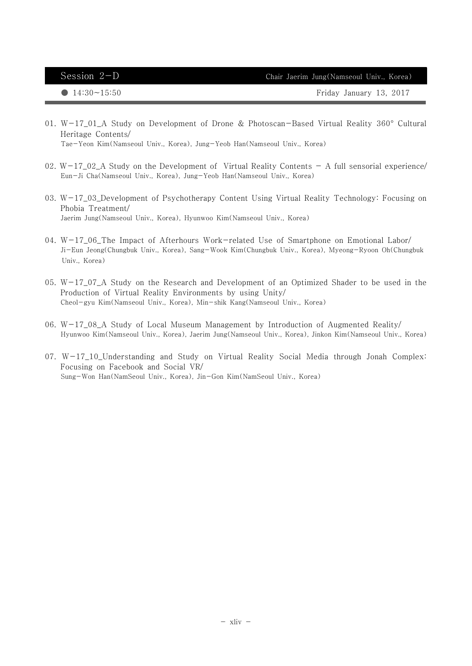| Session $2-D$         | Chair Jaerim Jung(Namseoul Univ., Korea) |
|-----------------------|------------------------------------------|
| $\bullet$ 14:30~15:50 | Friday January 13, 2017                  |

- 01. W-17\_01\_A Study on Development of Drone & Photoscan-Based Virtual Reality 360° Cultural Heritage Contents/ Tae-Yeon Kim(Namseoul Univ., Korea), Jung-Yeob Han(Namseoul Univ., Korea)
- 02.  $W-17_02_A$  Study on the Development of Virtual Reality Contents A full sensorial experience/ Eun-Ji Cha(Namseoul Univ., Korea), Jung-Yeob Han(Namseoul Univ., Korea)
- 03. W-17\_03\_Development of Psychotherapy Content Using Virtual Reality Technology: Focusing on Phobia Treatment/ Jaerim Jung(Namseoul Univ., Korea), Hyunwoo Kim(Namseoul Univ., Korea)
- 04. W-17\_06\_The Impact of Afterhours Work-related Use of Smartphone on Emotional Labor/ Ji-Eun Jeong(Chungbuk Univ., Korea), Sang-Wook Kim(Chungbuk Univ., Korea), Myeong-Ryoon Oh(Chungbuk Univ., Korea)
- 05. W-17\_07\_A Study on the Research and Development of an Optimized Shader to be used in the Production of Virtual Reality Environments by using Unity/ Cheol-gyu Kim(Namseoul Univ., Korea), Min-shik Kang(Namseoul Univ., Korea)
- 06. W-17\_08\_A Study of Local Museum Management by Introduction of Augmented Reality/ Hyunwoo Kim(Namseoul Univ., Korea), Jaerim Jung(Namseoul Univ., Korea), Jinkon Kim(Namseoul Univ., Korea)
- 07. W-17\_10\_Understanding and Study on Virtual Reality Social Media through Jonah Complex: Focusing on Facebook and Social VR/ Sung-Won Han(NamSeoul Univ., Korea), Jin-Gon Kim(NamSeoul Univ., Korea)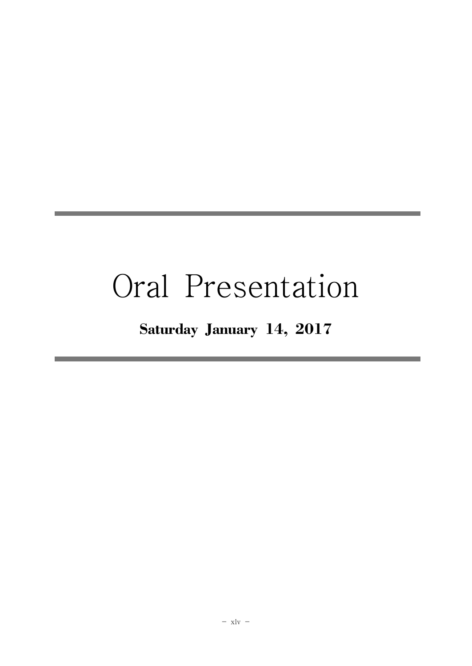# Oral Presentation

# Saturday January 14, 2017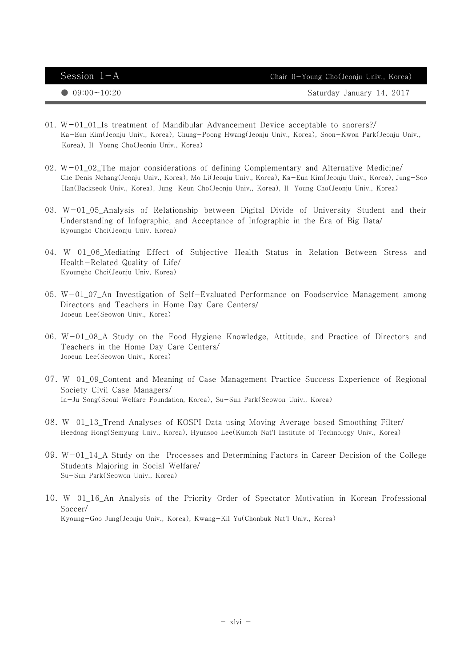Session  $1-A$  Chair Il-Young Cho(Jeonju Univ., Korea)

● 09:00~10:20 Saturday January 14, 2017

- 01. W-01\_01\_Is treatment of Mandibular Advancement Device acceptable to snorers?/ Ka-Eun Kim(Jeonju Univ., Korea), Chung-Poong Hwang(Jeonju Univ., Korea), Soon-Kwon Park(Jeonju Univ., Korea), Il-Young Cho(Jeonju Univ., Korea)
- 02.  $W-01$  02 The major considerations of defining Complementary and Alternative Medicine/ Che Denis Nchang(Jeonju Univ., Korea), Mo Li(Jeonju Univ., Korea), Ka-Eun Kim(Jeonju Univ., Korea), Jung-Soo Han(Backseok Univ., Korea), Jung-Keun Cho(Jeonju Univ., Korea), Il-Young Cho(Jeonju Univ., Korea)
- 03. W-01\_05\_Analysis of Relationship between Digital Divide of University Student and their Understanding of Infographic, and Acceptance of Infographic in the Era of Big Data/ Kyoungho Choi(Jeonju Univ, Korea)
- 04. W-01\_06\_Mediating Effect of Subjective Health Status in Relation Between Stress and Health-Related Quality of Life/ Kyoungho Choi(Jeonju Univ, Korea)
- 05. W-01\_07\_An Investigation of Self-Evaluated Performance on Foodservice Management among Directors and Teachers in Home Day Care Centers/ Jooeun Lee(Seowon Univ., Korea)
- 06. W-01\_08\_A Study on the Food Hygiene Knowledge, Attitude, and Practice of Directors and Teachers in the Home Day Care Centers/ Jooeun Lee(Seowon Univ., Korea)
- 07. W-01\_09\_Content and Meaning of Case Management Practice Success Experience of Regional Society Civil Case Managers/ In-Ju Song(Seoul Welfare Foundation, Korea), Su-Sun Park(Seowon Univ., Korea)
- 08. W-01\_13\_Trend Analyses of KOSPI Data using Moving Average based Smoothing Filter/ Heedong Hong(Semyung Univ., Korea), Hyunsoo Lee(Kumoh Nat'l Institute of Technology Univ., Korea)
- 09.  $W-01_14_A$  Study on the Processes and Determining Factors in Career Decision of the College Students Majoring in Social Welfare/ Su-Sun Park(Seowon Univ., Korea)
- 10. W-01\_16\_An Analysis of the Priority Order of Spectator Motivation in Korean Professional Soccer/ Kyoung-Goo Jung(Jeonju Univ., Korea), Kwang-Kil Yu(Chonbuk Nat'l Univ., Korea)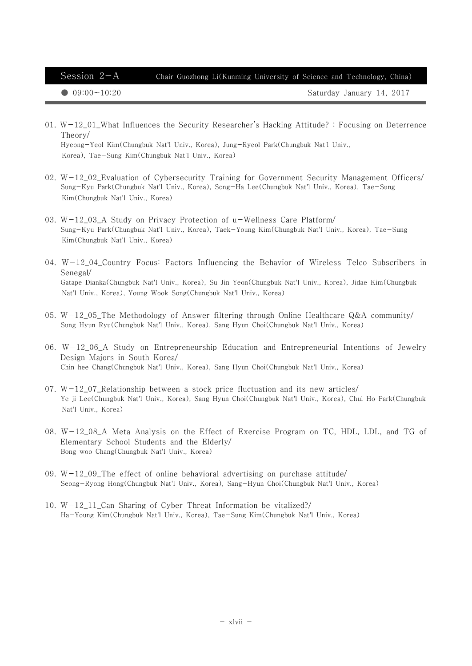Session  $2-A$  Chair Guozhong Li(Kunming University of Science and Technology, China)

● 09:00~10:20 Saturday January 14, 2017

01. W-12\_01\_What Influences the Security Researcher's Hacking Attitude? : Focusing on Deterrence Theory/ Hyeong-Yeol Kim(Chungbuk Nat'l Univ., Korea), Jung-Ryeol Park(Chungbuk Nat'l Univ.,

Korea), Tae-Sung Kim(Chungbuk Nat'l Univ., Korea)

- 02. W-12\_02\_Evaluation of Cybersecurity Training for Government Security Management Officers/ Sung-Kyu Park(Chungbuk Nat'l Univ., Korea), Song-Ha Lee(Chungbuk Nat'l Univ., Korea), Tae-Sung Kim(Chungbuk Nat'l Univ., Korea)
- 03. W-12\_03\_A Study on Privacy Protection of u-Wellness Care Platform/ Sung-Kyu Park(Chungbuk Nat'l Univ., Korea), Taek-Young Kim(Chungbuk Nat'l Univ., Korea), Tae-Sung Kim(Chungbuk Nat'l Univ., Korea)
- 04. W-12\_04\_Country Focus: Factors Influencing the Behavior of Wireless Telco Subscribers in Senegal/ Gatape Dianka(Chungbuk Nat'l Univ., Korea), Su Jin Yeon(Chungbuk Nat'l Univ., Korea), Jidae Kim(Chungbuk Nat'l Univ., Korea), Young Wook Song(Chungbuk Nat'l Univ., Korea)
- 05. W-12\_05\_The Methodology of Answer filtering through Online Healthcare  $Q&A$  community/ Sung Hyun Ryu(Chungbuk Nat'l Univ., Korea), Sang Hyun Choi(Chungbuk Nat'l Univ., Korea)
- 06. W-12\_06\_A Study on Entrepreneurship Education and Entrepreneurial Intentions of Jewelry Design Majors in South Korea/ Chin hee Chang(Chungbuk Nat'l Univ., Korea), Sang Hyun Choi(Chungbuk Nat'l Univ., Korea)
- 07.  $W-12_07$ <sub>-</sub>Relationship between a stock price fluctuation and its new articles/ Ye ji Lee(Chungbuk Nat'l Univ., Korea), Sang Hyun Choi(Chungbuk Nat'l Univ., Korea), Chul Ho Park(Chungbuk Nat'l Univ., Korea)
- 08. W-12\_08\_A Meta Analysis on the Effect of Exercise Program on TC, HDL, LDL, and TG of Elementary School Students and the Elderly/ Bong woo Chang(Chungbuk Nat'l Univ., Korea)
- 09.  $W-12_09$ . The effect of online behavioral advertising on purchase attitude/ Seong-Ryong Hong(Chungbuk Nat'l Univ., Korea), Sang-Hyun Choi(Chungbuk Nat'l Univ., Korea)
- 10. W-12\_11\_Can Sharing of Cyber Threat Information be vitalized?/ Ha-Young Kim(Chungbuk Nat'l Univ., Korea), Tae-Sung Kim(Chungbuk Nat'l Univ., Korea)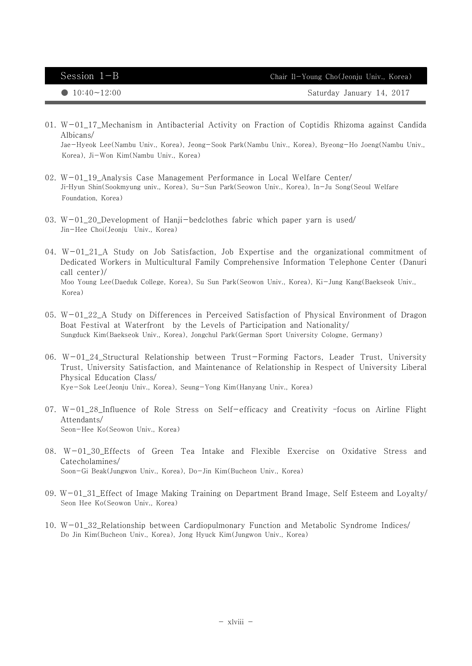Session  $1-B$  Chair Il-Young Cho(Jeonju Univ., Korea)

● 10:40~12:00 Saturday January 14, 2017

01. W-01\_17\_Mechanism in Antibacterial Activity on Fraction of Coptidis Rhizoma against Candida Albicans/

Jae-Hyeok Lee(Nambu Univ., Korea), Jeong-Sook Park(Nambu Univ., Korea), Byeong-Ho Joeng(Nambu Univ., Korea), Ji-Won Kim(Nambu Univ., Korea)

- $02.$  W $-01$  19 Analysis Case Management Performance in Local Welfare Center/ Ji–Hyun Shin(Sookmyung univ., Korea), Su-Sun Park(Seowon Univ., Korea), In-Ju Song(Seoul Welfare Foundation, Korea)
- 03.  $W-01$  20 Development of Hanji-bedclothes fabric which paper yarn is used/ Jin-Hee Choi(Jeonju Univ., Korea)
- 04. W-01\_21\_A Study on Job Satisfaction, Job Expertise and the organizational commitment of Dedicated Workers in Multicultural Family Comprehensive Information Telephone Center (Danuri call center)/ Moo Young Lee(Daeduk College, Korea), Su Sun Park(Seowon Univ., Korea), Ki-Jung Kang(Baekseok Univ., Korea)
- 05. W-01\_22\_A Study on Differences in Perceived Satisfaction of Physical Environment of Dragon Boat Festival at Waterfront by the Levels of Participation and Nationality/ Sungduck Kim(Baekseok Univ., Korea), Jongchul Park(German Sport University Cologne, Germany)
- 06. W-01\_24\_Structural Relationship between Trust-Forming Factors, Leader Trust, University Trust, University Satisfaction, and Maintenance of Relationship in Respect of University Liberal Physical Education Class/ Kye-Sok Lee(Jeonju Univ., Korea), Seung-Yong Kim(Hanyang Univ., Korea)
- 07. W-01\_28\_Influence of Role Stress on Self-efficacy and Creativity –focus on Airline Flight Attendants/ Seon-Hee Ko(Seowon Univ., Korea)
- 08. W-01\_30\_Effects of Green Tea Intake and Flexible Exercise on Oxidative Stress and Catecholamines/ Soon-Gi Beak(Jungwon Univ., Korea), Do-Jin Kim(Bucheon Univ., Korea)
- 09. W-01\_31\_Effect of Image Making Training on Department Brand Image, Self Esteem and Loyalty/ Seon Hee Ko(Seowon Univ., Korea)
- 10. W-01\_32\_Relationship between Cardiopulmonary Function and Metabolic Syndrome Indices/ Do Jin Kim(Bucheon Univ., Korea), Jong Hyuck Kim(Jungwon Univ., Korea)